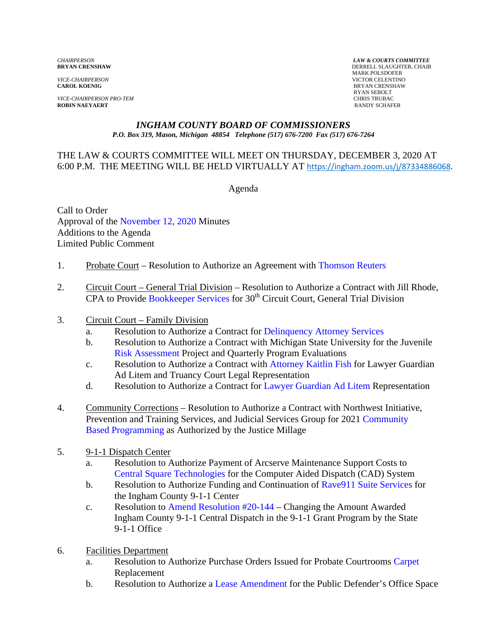*VICE-CHAIRPERSON* VICTOR CELENTINO

*VICE-CHAIRPERSON PRO-TEM* CHRIS TRUBAC **ROBIN NAEYAERT** 

*CHAIRPERSON LAW & COURTS COMMITTEE* **DERRELL SLAUGHTER, CHAIR**  MARK POLSDOFER **BRYAN CRENSHAW** RYAN SEBOLT

#### *INGHAM COUNTY BOARD OF COMMISSIONERS P.O. Box 319, Mason, Michigan 48854 Telephone (517) 676-7200 Fax (517) 676-7264*

#### THE LAW & COURTS COMMITTEE WILL MEET ON THURSDAY, DECEMBER 3, 2020 AT 6:00 P.M. THE MEETING WILL BE HELD VIRTUALLY AT [https://ingham.zoom.us/j/87334886068.](https://ingham.zoom.us/j/87334886068)

Agenda

Call to Order Approval [of the November 12, 2020 Minutes](#page-2-0)  Additions to the Agenda Limited Public Comment

- 1. Probate Court Resolution to Authorize an Agreement [with Thomson Reuters](#page-12-0)
- 2. Circuit Court General Trial Division Resolution to Authorize a Contract with Jill Rhode,  $CPA$  to Provide Bookkeeper Services for  $30<sup>th</sup>$  Circuit Court, General Trial Division
- 3. Circuit Court Family Division
	- a. Resolution to Authorize a Contract for Delinquency Attorney Services
	- b. Resolution to Authorize a Contract wit[h Michigan State University for the Ju](#page-17-0)venile Risk Assessment Project and Quarterly Program Evaluations
	- c. [Resolution to Authoriz](#page-19-0)e a Contract with [Attorney Kaitlin Fish for Lawy](#page-21-0)er Guardian Ad Litem and Truancy Court Legal Representation
	- d. Resolution to Authorize a Contract for [Lawyer Guardian Ad Litem](#page-25-0) Representation
- 4. Community Corrections Resolution to Authorize a Contract with Northwest Initiative, [Prevention and Training Services, and Judicial Services Group for 2021 Community](#page-29-0) Based Programming as Authorized by the Justice Millage
- 5. 9-1-1 Dispatch Center
	- a. Resolution to Authorize Payment of Arcserve Maintenance Support Costs to [Central Square Technologies for th](#page-31-0)e Computer Aided Dispatch (CAD) System
	- b. Resolution to Authorize Funding and Continuation of Rave 911 Suite Services for the Ingham County 9-1-1 Center
	- c. Resolution [to Amend Resolution #20-144 C](#page-35-0)hanging the Amount Awarded Ingham County 9-1-1 Central Dispatch in the 9-1-1 Grant Program by the State 9-1-1 Office
- 6. Facilities Department
	- a. Resolution to Authorize Purchase Orders Issued for Probate Co[urtrooms Carpet](#page-37-0) Replacement
	- b. Resolution to Author[ize a Lease Amendment for](#page-39-0) the Public Defender's Office Space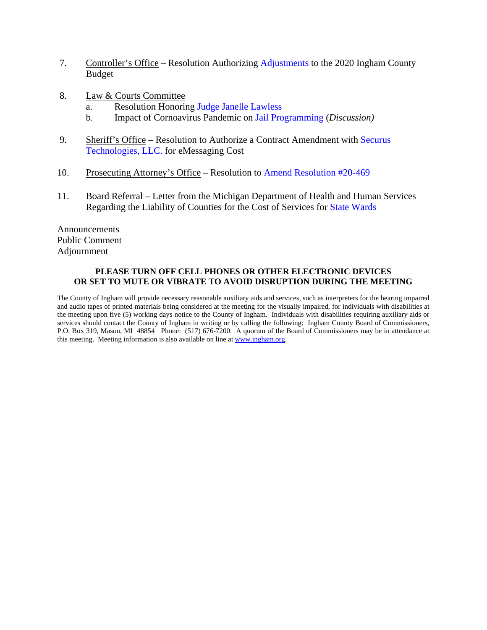- 7. Controller's Office Resolution Auth[orizing Adjustments to](#page-41-0) the 2020 Ingham County Budget
- 8. Law & Courts Committee
	- a. Resolution Honori[ng Judge Janelle Lawless](#page-50-0)
	- b. Impact of Cornoavirus Pandemic on [Jail Programming \(](#page-51-0)*Discussion)*
- 9. [Sheriff's Office Resolution to Authorize a Contract Amendment with Securus](#page-54-0) Technologies, LLC. for eMessaging Cost
- 10. Prosecuting Attorney's Office Resolution [to Amend Resolution #20-469](#page-56-0)
- 11. Board Referral Letter from the Michigan Department of Health and Human Services Regarding the Liability of Counties for the Cost of Services [for State Wards](#page-58-0)

Announcements Public Comment Adjournment

#### **PLEASE TURN OFF CELL PHONES OR OTHER ELECTRONIC DEVICES OR SET TO MUTE OR VIBRATE TO AVOID DISRUPTION DURING THE MEETING**

The County of Ingham will provide necessary reasonable auxiliary aids and services, such as interpreters for the hearing impaired and audio tapes of printed materials being considered at the meeting for the visually impaired, for individuals with disabilities at the meeting upon five (5) working days notice to the County of Ingham. Individuals with disabilities requiring auxiliary aids or services should contact the County of Ingham in writing or by calling the following: Ingham County Board of Commissioners, P.O. Box 319, Mason, MI 48854 Phone: (517) 676-7200. A quorum of the Board of Commissioners may be in attendance at this meeting. Meeting information is also available on line at www.ingham.org.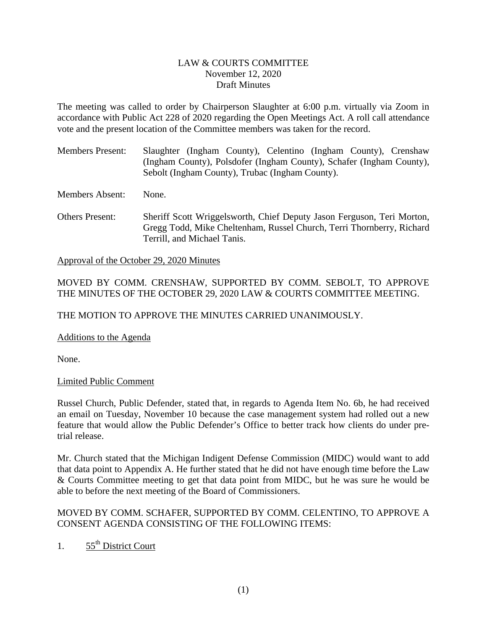#### LAW & COURTS COMMITTEE November 12, 2020 Draft Minutes

<span id="page-2-0"></span>The meeting was called to order by Chairperson Slaughter at 6:00 p.m. virtually via Zoom in accordance with Public Act 228 of 2020 regarding the Open Meetings Act. A roll call attendance vote and the present location of the Committee members was taken for the record.

Members Present: Slaughter (Ingham County), Celentino (Ingham County), Crenshaw (Ingham County), Polsdofer (Ingham County), Schafer (Ingham County), Sebolt (Ingham County), Trubac (Ingham County).

Members Absent: None.

Others Present: Sheriff Scott Wriggelsworth, Chief Deputy Jason Ferguson, Teri Morton, Gregg Todd, Mike Cheltenham, Russel Church, Terri Thornberry, Richard Terrill, and Michael Tanis.

Approval of the October 29, 2020 Minutes

#### MOVED BY COMM. CRENSHAW, SUPPORTED BY COMM. SEBOLT, TO APPROVE THE MINUTES OF THE OCTOBER 29, 2020 LAW & COURTS COMMITTEE MEETING.

THE MOTION TO APPROVE THE MINUTES CARRIED UNANIMOUSLY.

Additions to the Agenda

None.

#### Limited Public Comment

Russel Church, Public Defender, stated that, in regards to Agenda Item No. 6b, he had received an email on Tuesday, November 10 because the case management system had rolled out a new feature that would allow the Public Defender's Office to better track how clients do under pretrial release.

Mr. Church stated that the Michigan Indigent Defense Commission (MIDC) would want to add that data point to Appendix A. He further stated that he did not have enough time before the Law & Courts Committee meeting to get that data point from MIDC, but he was sure he would be able to before the next meeting of the Board of Commissioners.

#### MOVED BY COMM. SCHAFER, SUPPORTED BY COMM. CELENTINO, TO APPROVE A CONSENT AGENDA CONSISTING OF THE FOLLOWING ITEMS:

1.  $55<sup>th</sup>$  District Court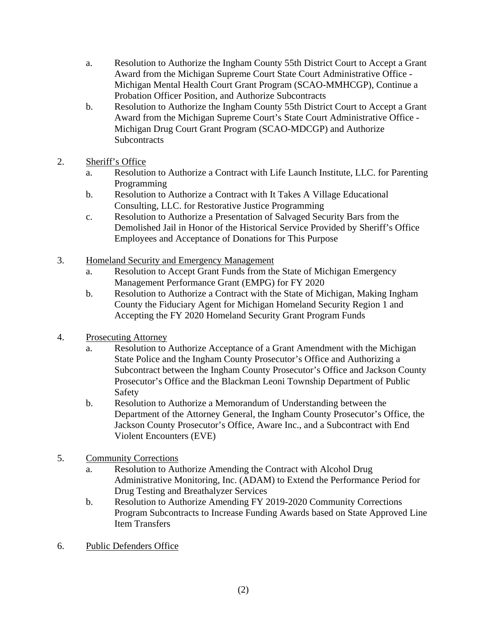- a. Resolution to Authorize the Ingham County 55th District Court to Accept a Grant Award from the Michigan Supreme Court State Court Administrative Office - Michigan Mental Health Court Grant Program (SCAO-MMHCGP), Continue a Probation Officer Position, and Authorize Subcontracts
- b. Resolution to Authorize the Ingham County 55th District Court to Accept a Grant Award from the Michigan Supreme Court's State Court Administrative Office - Michigan Drug Court Grant Program (SCAO-MDCGP) and Authorize **Subcontracts**
- 2. Sheriff's Office
	- a. Resolution to Authorize a Contract with Life Launch Institute, LLC. for Parenting Programming
	- b. Resolution to Authorize a Contract with It Takes A Village Educational Consulting, LLC. for Restorative Justice Programming
	- c. Resolution to Authorize a Presentation of Salvaged Security Bars from the Demolished Jail in Honor of the Historical Service Provided by Sheriff's Office Employees and Acceptance of Donations for This Purpose
- 3. Homeland Security and Emergency Management
	- a. Resolution to Accept Grant Funds from the State of Michigan Emergency Management Performance Grant (EMPG) for FY 2020
	- b. Resolution to Authorize a Contract with the State of Michigan, Making Ingham County the Fiduciary Agent for Michigan Homeland Security Region 1 and Accepting the FY 2020 Homeland Security Grant Program Funds
- 4. Prosecuting Attorney
	- a. Resolution to Authorize Acceptance of a Grant Amendment with the Michigan State Police and the Ingham County Prosecutor's Office and Authorizing a Subcontract between the Ingham County Prosecutor's Office and Jackson County Prosecutor's Office and the Blackman Leoni Township Department of Public Safety
	- b. Resolution to Authorize a Memorandum of Understanding between the Department of the Attorney General, the Ingham County Prosecutor's Office, the Jackson County Prosecutor's Office, Aware Inc., and a Subcontract with End Violent Encounters (EVE)
- 5. Community Corrections
	- a. Resolution to Authorize Amending the Contract with Alcohol Drug Administrative Monitoring, Inc. (ADAM) to Extend the Performance Period for Drug Testing and Breathalyzer Services
	- b. Resolution to Authorize Amending FY 2019-2020 Community Corrections Program Subcontracts to Increase Funding Awards based on State Approved Line Item Transfers
- 6. Public Defenders Office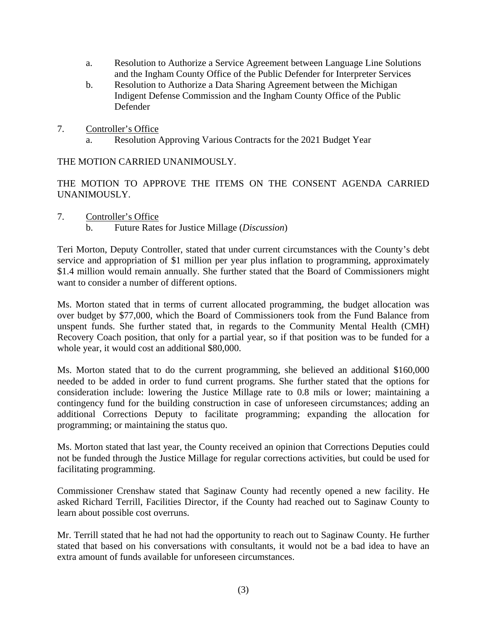- a. Resolution to Authorize a Service Agreement between Language Line Solutions and the Ingham County Office of the Public Defender for Interpreter Services
- b. Resolution to Authorize a Data Sharing Agreement between the Michigan Indigent Defense Commission and the Ingham County Office of the Public Defender
- 7. Controller's Office
	- a. Resolution Approving Various Contracts for the 2021 Budget Year

THE MOTION CARRIED UNANIMOUSLY.

THE MOTION TO APPROVE THE ITEMS ON THE CONSENT AGENDA CARRIED UNANIMOUSLY.

- 7. Controller's Office
	- b. Future Rates for Justice Millage (*Discussion*)

Teri Morton, Deputy Controller, stated that under current circumstances with the County's debt service and appropriation of \$1 million per year plus inflation to programming, approximately \$1.4 million would remain annually. She further stated that the Board of Commissioners might want to consider a number of different options.

Ms. Morton stated that in terms of current allocated programming, the budget allocation was over budget by \$77,000, which the Board of Commissioners took from the Fund Balance from unspent funds. She further stated that, in regards to the Community Mental Health (CMH) Recovery Coach position, that only for a partial year, so if that position was to be funded for a whole year, it would cost an additional \$80,000.

Ms. Morton stated that to do the current programming, she believed an additional \$160,000 needed to be added in order to fund current programs. She further stated that the options for consideration include: lowering the Justice Millage rate to 0.8 mils or lower; maintaining a contingency fund for the building construction in case of unforeseen circumstances; adding an additional Corrections Deputy to facilitate programming; expanding the allocation for programming; or maintaining the status quo.

Ms. Morton stated that last year, the County received an opinion that Corrections Deputies could not be funded through the Justice Millage for regular corrections activities, but could be used for facilitating programming.

Commissioner Crenshaw stated that Saginaw County had recently opened a new facility. He asked Richard Terrill, Facilities Director, if the County had reached out to Saginaw County to learn about possible cost overruns.

Mr. Terrill stated that he had not had the opportunity to reach out to Saginaw County. He further stated that based on his conversations with consultants, it would not be a bad idea to have an extra amount of funds available for unforeseen circumstances.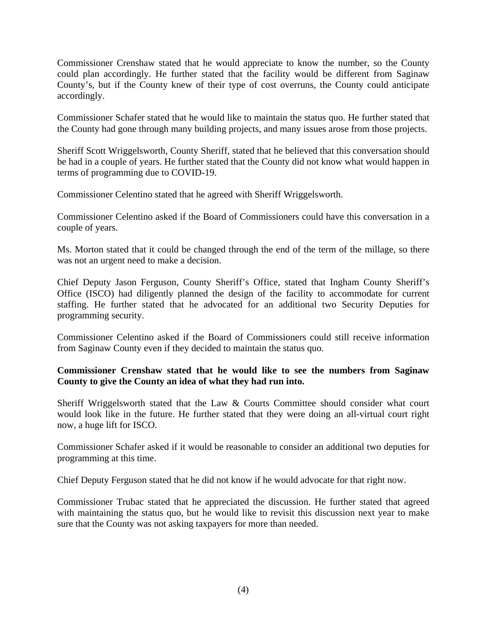Commissioner Crenshaw stated that he would appreciate to know the number, so the County could plan accordingly. He further stated that the facility would be different from Saginaw County's, but if the County knew of their type of cost overruns, the County could anticipate accordingly.

Commissioner Schafer stated that he would like to maintain the status quo. He further stated that the County had gone through many building projects, and many issues arose from those projects.

Sheriff Scott Wriggelsworth, County Sheriff, stated that he believed that this conversation should be had in a couple of years. He further stated that the County did not know what would happen in terms of programming due to COVID-19.

Commissioner Celentino stated that he agreed with Sheriff Wriggelsworth.

Commissioner Celentino asked if the Board of Commissioners could have this conversation in a couple of years.

Ms. Morton stated that it could be changed through the end of the term of the millage, so there was not an urgent need to make a decision.

Chief Deputy Jason Ferguson, County Sheriff's Office, stated that Ingham County Sheriff's Office (ISCO) had diligently planned the design of the facility to accommodate for current staffing. He further stated that he advocated for an additional two Security Deputies for programming security.

Commissioner Celentino asked if the Board of Commissioners could still receive information from Saginaw County even if they decided to maintain the status quo.

## **Commissioner Crenshaw stated that he would like to see the numbers from Saginaw County to give the County an idea of what they had run into.**

Sheriff Wriggelsworth stated that the Law & Courts Committee should consider what court would look like in the future. He further stated that they were doing an all-virtual court right now, a huge lift for ISCO.

Commissioner Schafer asked if it would be reasonable to consider an additional two deputies for programming at this time.

Chief Deputy Ferguson stated that he did not know if he would advocate for that right now.

Commissioner Trubac stated that he appreciated the discussion. He further stated that agreed with maintaining the status quo, but he would like to revisit this discussion next year to make sure that the County was not asking taxpayers for more than needed.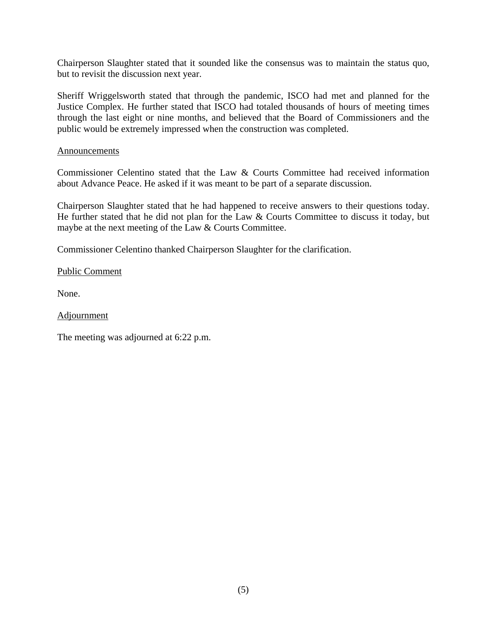Chairperson Slaughter stated that it sounded like the consensus was to maintain the status quo, but to revisit the discussion next year.

Sheriff Wriggelsworth stated that through the pandemic, ISCO had met and planned for the Justice Complex. He further stated that ISCO had totaled thousands of hours of meeting times through the last eight or nine months, and believed that the Board of Commissioners and the public would be extremely impressed when the construction was completed.

#### Announcements

Commissioner Celentino stated that the Law & Courts Committee had received information about Advance Peace. He asked if it was meant to be part of a separate discussion.

Chairperson Slaughter stated that he had happened to receive answers to their questions today. He further stated that he did not plan for the Law & Courts Committee to discuss it today, but maybe at the next meeting of the Law & Courts Committee.

Commissioner Celentino thanked Chairperson Slaughter for the clarification.

Public Comment

None.

Adjournment

The meeting was adjourned at 6:22 p.m.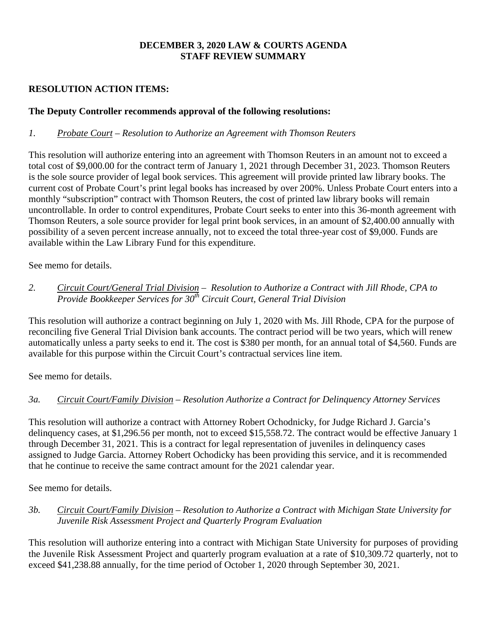## **DECEMBER 3, 2020 LAW & COURTS AGENDA STAFF REVIEW SUMMARY**

## **RESOLUTION ACTION ITEMS:**

## **The Deputy Controller recommends approval of the following resolutions:**

#### *1. Probate Court – Resolution to Authorize an Agreement with Thomson Reuters*

This resolution will authorize entering into an agreement with Thomson Reuters in an amount not to exceed a total cost of \$9,000.00 for the contract term of January 1, 2021 through December 31, 2023. Thomson Reuters is the sole source provider of legal book services. This agreement will provide printed law library books. The current cost of Probate Court's print legal books has increased by over 200%. Unless Probate Court enters into a monthly "subscription" contract with Thomson Reuters, the cost of printed law library books will remain uncontrollable. In order to control expenditures, Probate Court seeks to enter into this 36-month agreement with Thomson Reuters, a sole source provider for legal print book services, in an amount of \$2,400.00 annually with possibility of a seven percent increase annually, not to exceed the total three-year cost of \$9,000. Funds are available within the Law Library Fund for this expenditure.

See memo for details.

## *2. Circuit Court/General Trial Division – Resolution to Authorize a Contract with Jill Rhode, CPA to Provide Bookkeeper Services for 30th Circuit Court, General Trial Division*

This resolution will authorize a contract beginning on July 1, 2020 with Ms. Jill Rhode, CPA for the purpose of reconciling five General Trial Division bank accounts. The contract period will be two years, which will renew automatically unless a party seeks to end it. The cost is \$380 per month, for an annual total of \$4,560. Funds are available for this purpose within the Circuit Court's contractual services line item.

See memo for details.

## *3a. Circuit Court/Family Division – Resolution Authorize a Contract for Delinquency Attorney Services*

This resolution will authorize a contract with Attorney Robert Ochodnicky, for Judge Richard J. Garcia's delinquency cases, at \$1,296.56 per month, not to exceed \$15,558.72. The contract would be effective January 1 through December 31, 2021. This is a contract for legal representation of juveniles in delinquency cases assigned to Judge Garcia. Attorney Robert Ochodicky has been providing this service, and it is recommended that he continue to receive the same contract amount for the 2021 calendar year.

See memo for details.

## *3b. Circuit Court/Family Division – Resolution to Authorize a Contract with Michigan State University for Juvenile Risk Assessment Project and Quarterly Program Evaluation*

This resolution will authorize entering into a contract with Michigan State University for purposes of providing the Juvenile Risk Assessment Project and quarterly program evaluation at a rate of \$10,309.72 quarterly, not to exceed \$41,238.88 annually, for the time period of October 1, 2020 through September 30, 2021.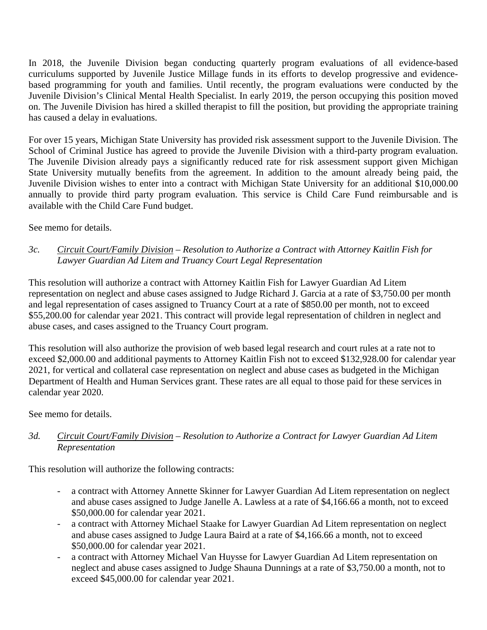In 2018, the Juvenile Division began conducting quarterly program evaluations of all evidence-based curriculums supported by Juvenile Justice Millage funds in its efforts to develop progressive and evidencebased programming for youth and families. Until recently, the program evaluations were conducted by the Juvenile Division's Clinical Mental Health Specialist. In early 2019, the person occupying this position moved on. The Juvenile Division has hired a skilled therapist to fill the position, but providing the appropriate training has caused a delay in evaluations.

For over 15 years, Michigan State University has provided risk assessment support to the Juvenile Division. The School of Criminal Justice has agreed to provide the Juvenile Division with a third-party program evaluation. The Juvenile Division already pays a significantly reduced rate for risk assessment support given Michigan State University mutually benefits from the agreement. In addition to the amount already being paid, the Juvenile Division wishes to enter into a contract with Michigan State University for an additional \$10,000.00 annually to provide third party program evaluation. This service is Child Care Fund reimbursable and is available with the Child Care Fund budget.

See memo for details.

*3c. Circuit Court/Family Division – Resolution to Authorize a Contract with Attorney Kaitlin Fish for Lawyer Guardian Ad Litem and Truancy Court Legal Representation*

This resolution will authorize a contract with Attorney Kaitlin Fish for Lawyer Guardian Ad Litem representation on neglect and abuse cases assigned to Judge Richard J. Garcia at a rate of \$3,750.00 per month and legal representation of cases assigned to Truancy Court at a rate of \$850.00 per month, not to exceed \$55,200.00 for calendar year 2021. This contract will provide legal representation of children in neglect and abuse cases, and cases assigned to the Truancy Court program.

This resolution will also authorize the provision of web based legal research and court rules at a rate not to exceed \$2,000.00 and additional payments to Attorney Kaitlin Fish not to exceed \$132,928.00 for calendar year 2021, for vertical and collateral case representation on neglect and abuse cases as budgeted in the Michigan Department of Health and Human Services grant. These rates are all equal to those paid for these services in calendar year 2020.

See memo for details.

## *3d. Circuit Court/Family Division – Resolution to Authorize a Contract for Lawyer Guardian Ad Litem Representation*

This resolution will authorize the following contracts:

- a contract with Attorney Annette Skinner for Lawyer Guardian Ad Litem representation on neglect and abuse cases assigned to Judge Janelle A. Lawless at a rate of \$4,166.66 a month, not to exceed \$50,000.00 for calendar year 2021.
- a contract with Attorney Michael Staake for Lawyer Guardian Ad Litem representation on neglect and abuse cases assigned to Judge Laura Baird at a rate of \$4,166.66 a month, not to exceed \$50,000.00 for calendar year 2021.
- a contract with Attorney Michael Van Huysse for Lawyer Guardian Ad Litem representation on neglect and abuse cases assigned to Judge Shauna Dunnings at a rate of \$3,750.00 a month, not to exceed \$45,000.00 for calendar year 2021.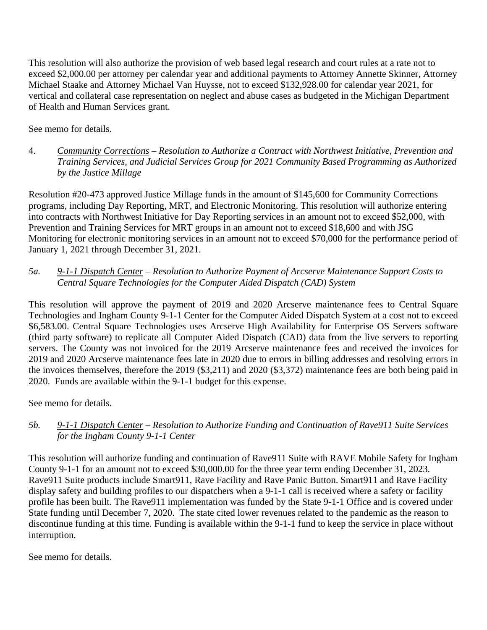This resolution will also authorize the provision of web based legal research and court rules at a rate not to exceed \$2,000.00 per attorney per calendar year and additional payments to Attorney Annette Skinner, Attorney Michael Staake and Attorney Michael Van Huysse, not to exceed \$132,928.00 for calendar year 2021, for vertical and collateral case representation on neglect and abuse cases as budgeted in the Michigan Department of Health and Human Services grant.

See memo for details.

4. *Community Corrections – Resolution to Authorize a Contract with Northwest Initiative, Prevention and Training Services, and Judicial Services Group for 2021 Community Based Programming as Authorized by the Justice Millage* 

Resolution #20-473 approved Justice Millage funds in the amount of \$145,600 for Community Corrections programs, including Day Reporting, MRT, and Electronic Monitoring. This resolution will authorize entering into contracts with Northwest Initiative for Day Reporting services in an amount not to exceed \$52,000, with Prevention and Training Services for MRT groups in an amount not to exceed \$18,600 and with JSG Monitoring for electronic monitoring services in an amount not to exceed \$70,000 for the performance period of January 1, 2021 through December 31, 2021.

## *5a. 9-1-1 Dispatch Center – Resolution to Authorize Payment of Arcserve Maintenance Support Costs to Central Square Technologies for the Computer Aided Dispatch (CAD) System*

This resolution will approve the payment of 2019 and 2020 Arcserve maintenance fees to Central Square Technologies and Ingham County 9-1-1 Center for the Computer Aided Dispatch System at a cost not to exceed \$6,583.00. Central Square Technologies uses Arcserve High Availability for Enterprise OS Servers software (third party software) to replicate all Computer Aided Dispatch (CAD) data from the live servers to reporting servers. The County was not invoiced for the 2019 Arcserve maintenance fees and received the invoices for 2019 and 2020 Arcserve maintenance fees late in 2020 due to errors in billing addresses and resolving errors in the invoices themselves, therefore the 2019 (\$3,211) and 2020 (\$3,372) maintenance fees are both being paid in 2020. Funds are available within the 9-1-1 budget for this expense.

See memo for details.

## *5b. 9-1-1 Dispatch Center – Resolution to Authorize Funding and Continuation of Rave911 Suite Services for the Ingham County 9-1-1 Center*

This resolution will authorize funding and continuation of Rave911 Suite with RAVE Mobile Safety for Ingham County 9-1-1 for an amount not to exceed \$30,000.00 for the three year term ending December 31, 2023. Rave911 Suite products include Smart911, Rave Facility and Rave Panic Button. Smart911 and Rave Facility display safety and building profiles to our dispatchers when a 9-1-1 call is received where a safety or facility profile has been built. The Rave911 implementation was funded by the State 9-1-1 Office and is covered under State funding until December 7, 2020. The state cited lower revenues related to the pandemic as the reason to discontinue funding at this time. Funding is available within the 9-1-1 fund to keep the service in place without interruption.

See memo for details.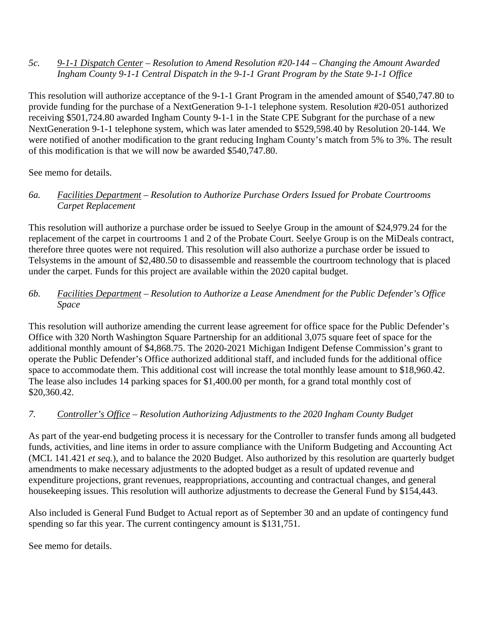#### *5c. 9-1-1 Dispatch Center – Resolution to Amend Resolution #20-144 – Changing the Amount Awarded Ingham County 9-1-1 Central Dispatch in the 9-1-1 Grant Program by the State 9-1-1 Office*

This resolution will authorize acceptance of the 9-1-1 Grant Program in the amended amount of \$540,747.80 to provide funding for the purchase of a NextGeneration 9-1-1 telephone system. Resolution #20-051 authorized receiving \$501,724.80 awarded Ingham County 9-1-1 in the State CPE Subgrant for the purchase of a new NextGeneration 9-1-1 telephone system, which was later amended to \$529,598.40 by Resolution 20-144. We were notified of another modification to the grant reducing Ingham County's match from 5% to 3%. The result of this modification is that we will now be awarded \$540,747.80.

See memo for details.

## *6a. Facilities Department – Resolution to Authorize Purchase Orders Issued for Probate Courtrooms Carpet Replacement*

This resolution will authorize a purchase order be issued to Seelye Group in the amount of \$24,979.24 for the replacement of the carpet in courtrooms 1 and 2 of the Probate Court. Seelye Group is on the MiDeals contract, therefore three quotes were not required. This resolution will also authorize a purchase order be issued to Telsystems in the amount of \$2,480.50 to disassemble and reassemble the courtroom technology that is placed under the carpet. Funds for this project are available within the 2020 capital budget.

## *6b. Facilities Department – Resolution to Authorize a Lease Amendment for the Public Defender's Office Space*

This resolution will authorize amending the current lease agreement for office space for the Public Defender's Office with 320 North Washington Square Partnership for an additional 3,075 square feet of space for the additional monthly amount of \$4,868.75. The 2020-2021 Michigan Indigent Defense Commission's grant to operate the Public Defender's Office authorized additional staff, and included funds for the additional office space to accommodate them. This additional cost will increase the total monthly lease amount to \$18,960.42. The lease also includes 14 parking spaces for \$1,400.00 per month, for a grand total monthly cost of \$20,360.42.

## *7. Controller's Office – Resolution Authorizing Adjustments to the 2020 Ingham County Budget*

As part of the year-end budgeting process it is necessary for the Controller to transfer funds among all budgeted funds, activities, and line items in order to assure compliance with the Uniform Budgeting and Accounting Act (MCL 141.421 *et seq.*), and to balance the 2020 Budget. Also authorized by this resolution are quarterly budget amendments to make necessary adjustments to the adopted budget as a result of updated revenue and expenditure projections, grant revenues, reappropriations, accounting and contractual changes, and general housekeeping issues. This resolution will authorize adjustments to decrease the General Fund by \$154,443.

Also included is General Fund Budget to Actual report as of September 30 and an update of contingency fund spending so far this year. The current contingency amount is \$131,751.

See memo for details.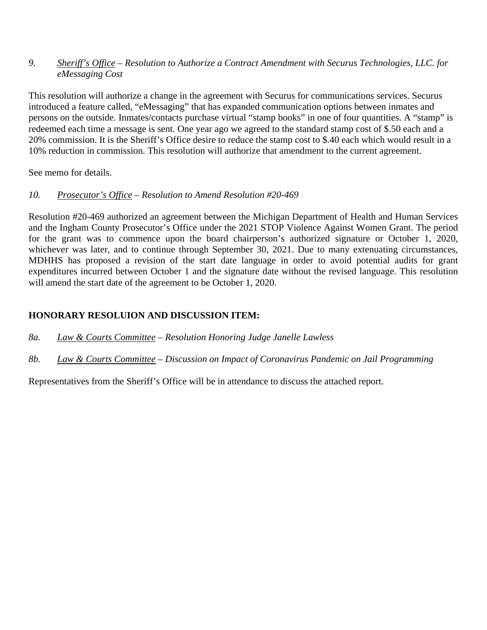#### *9. Sheriff's Office – Resolution to Authorize a Contract Amendment with Securus Technologies, LLC. for eMessaging Cost*

This resolution will authorize a change in the agreement with Securus for communications services. Securus introduced a feature called, "eMessaging" that has expanded communication options between inmates and persons on the outside. Inmates/contacts purchase virtual "stamp books" in one of four quantities. A "stamp" is redeemed each time a message is sent. One year ago we agreed to the standard stamp cost of \$.50 each and a 20% commission. It is the Sheriff's Office desire to reduce the stamp cost to \$.40 each which would result in a 10% reduction in commission. This resolution will authorize that amendment to the current agreement.

See memo for details.

## *10. Prosecutor's Office – Resolution to Amend Resolution #20-469*

Resolution #20-469 authorized an agreement between the Michigan Department of Health and Human Services and the Ingham County Prosecutor's Office under the 2021 STOP Violence Against Women Grant. The period for the grant was to commence upon the board chairperson's authorized signature or October 1, 2020, whichever was later, and to continue through September 30, 2021. Due to many extenuating circumstances, MDHHS has proposed a revision of the start date language in order to avoid potential audits for grant expenditures incurred between October 1 and the signature date without the revised language. This resolution will amend the start date of the agreement to be October 1, 2020.

## **HONORARY RESOLUION AND DISCUSSION ITEM:**

*8a. Law & Courts Committee – Resolution Honoring Judge Janelle Lawless* 

*8b. Law & Courts Committee – Discussion on Impact of Coronavirus Pandemic on Jail Programming*

Representatives from the Sheriff's Office will be in attendance to discuss the attached report.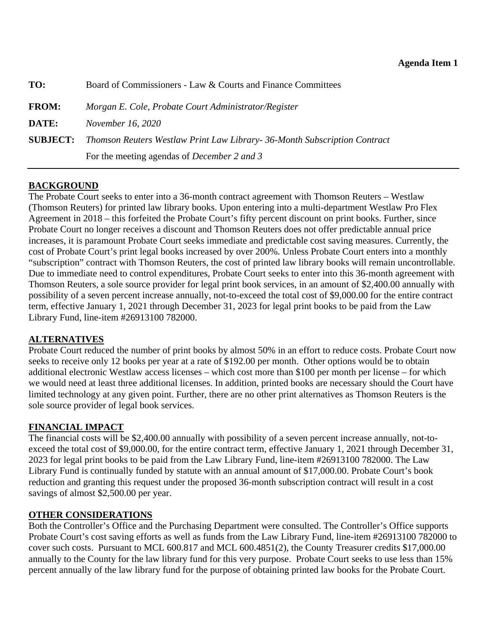<span id="page-12-0"></span>

| TO:             | Board of Commissioners - Law & Courts and Finance Committees              |  |
|-----------------|---------------------------------------------------------------------------|--|
| <b>FROM:</b>    | Morgan E. Cole, Probate Court Administrator/Register                      |  |
| DATE:           | <i>November 16, 2020</i>                                                  |  |
| <b>SUBJECT:</b> | Thomson Reuters Westlaw Print Law Library- 36-Month Subscription Contract |  |
|                 | For the meeting agendas of <i>December 2 and 3</i>                        |  |

## **BACKGROUND**

The Probate Court seeks to enter into a 36-month contract agreement with Thomson Reuters – Westlaw (Thomson Reuters) for printed law library books. Upon entering into a multi-department Westlaw Pro Flex Agreement in 2018 – this forfeited the Probate Court's fifty percent discount on print books. Further, since Probate Court no longer receives a discount and Thomson Reuters does not offer predictable annual price increases, it is paramount Probate Court seeks immediate and predictable cost saving measures. Currently, the cost of Probate Court's print legal books increased by over 200%. Unless Probate Court enters into a monthly "subscription" contract with Thomson Reuters, the cost of printed law library books will remain uncontrollable. Due to immediate need to control expenditures, Probate Court seeks to enter into this 36-month agreement with Thomson Reuters, a sole source provider for legal print book services, in an amount of \$2,400.00 annually with possibility of a seven percent increase annually, not-to-exceed the total cost of \$9,000.00 for the entire contract term, effective January 1, 2021 through December 31, 2023 for legal print books to be paid from the Law Library Fund, line-item #26913100 782000.

## **ALTERNATIVES**

Probate Court reduced the number of print books by almost 50% in an effort to reduce costs. Probate Court now seeks to receive only 12 books per year at a rate of \$192.00 per month. Other options would be to obtain additional electronic Westlaw access licenses – which cost more than \$100 per month per license – for which we would need at least three additional licenses. In addition, printed books are necessary should the Court have limited technology at any given point. Further, there are no other print alternatives as Thomson Reuters is the sole source provider of legal book services.

## **FINANCIAL IMPACT**

The financial costs will be \$2,400.00 annually with possibility of a seven percent increase annually, not-toexceed the total cost of \$9,000.00, for the entire contract term, effective January 1, 2021 through December 31, 2023 for legal print books to be paid from the Law Library Fund, line-item #26913100 782000. The Law Library Fund is continually funded by statute with an annual amount of \$17,000.00. Probate Court's book reduction and granting this request under the proposed 36-month subscription contract will result in a cost savings of almost \$2,500.00 per year.

## **OTHER CONSIDERATIONS**

Both the Controller's Office and the Purchasing Department were consulted. The Controller's Office supports Probate Court's cost saving efforts as well as funds from the Law Library Fund, line-item #26913100 782000 to cover such costs. Pursuant to MCL 600.817 and MCL 600.4851(2), the County Treasurer credits \$17,000.00 annually to the County for the law library fund for this very purpose. Probate Court seeks to use less than 15% percent annually of the law library fund for the purpose of obtaining printed law books for the Probate Court.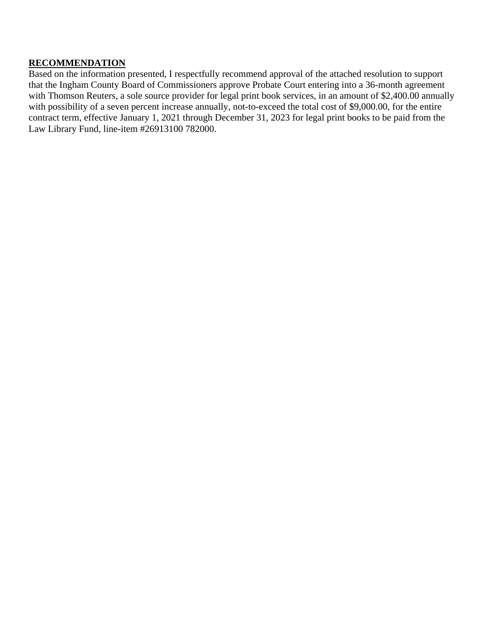#### **RECOMMENDATION**

Based on the information presented, I respectfully recommend approval of the attached resolution to support that the Ingham County Board of Commissioners approve Probate Court entering into a 36-month agreement with Thomson Reuters, a sole source provider for legal print book services, in an amount of \$2,400.00 annually with possibility of a seven percent increase annually, not-to-exceed the total cost of \$9,000.00, for the entire contract term, effective January 1, 2021 through December 31, 2023 for legal print books to be paid from the Law Library Fund, line-item #26913100 782000.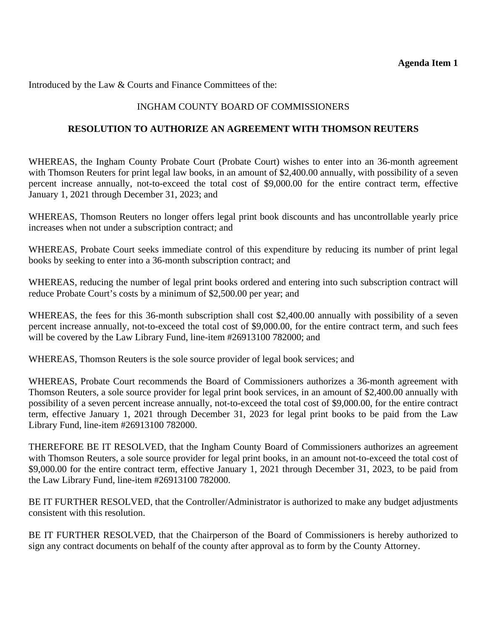Introduced by the Law & Courts and Finance Committees of the:

## INGHAM COUNTY BOARD OF COMMISSIONERS

#### **RESOLUTION TO AUTHORIZE AN AGREEMENT WITH THOMSON REUTERS**

WHEREAS, the Ingham County Probate Court (Probate Court) wishes to enter into an 36-month agreement with Thomson Reuters for print legal law books, in an amount of \$2,400.00 annually, with possibility of a seven percent increase annually, not-to-exceed the total cost of \$9,000.00 for the entire contract term, effective January 1, 2021 through December 31, 2023; and

WHEREAS, Thomson Reuters no longer offers legal print book discounts and has uncontrollable yearly price increases when not under a subscription contract; and

WHEREAS, Probate Court seeks immediate control of this expenditure by reducing its number of print legal books by seeking to enter into a 36-month subscription contract; and

WHEREAS, reducing the number of legal print books ordered and entering into such subscription contract will reduce Probate Court's costs by a minimum of \$2,500.00 per year; and

WHEREAS, the fees for this 36-month subscription shall cost \$2,400.00 annually with possibility of a seven percent increase annually, not-to-exceed the total cost of \$9,000.00, for the entire contract term, and such fees will be covered by the Law Library Fund, line-item #26913100 782000; and

WHEREAS, Thomson Reuters is the sole source provider of legal book services; and

WHEREAS, Probate Court recommends the Board of Commissioners authorizes a 36-month agreement with Thomson Reuters, a sole source provider for legal print book services, in an amount of \$2,400.00 annually with possibility of a seven percent increase annually, not-to-exceed the total cost of \$9,000.00, for the entire contract term, effective January 1, 2021 through December 31, 2023 for legal print books to be paid from the Law Library Fund, line-item #26913100 782000.

THEREFORE BE IT RESOLVED, that the Ingham County Board of Commissioners authorizes an agreement with Thomson Reuters, a sole source provider for legal print books, in an amount not-to-exceed the total cost of \$9,000.00 for the entire contract term, effective January 1, 2021 through December 31, 2023, to be paid from the Law Library Fund, line-item #26913100 782000.

BE IT FURTHER RESOLVED, that the Controller/Administrator is authorized to make any budget adjustments consistent with this resolution.

BE IT FURTHER RESOLVED, that the Chairperson of the Board of Commissioners is hereby authorized to sign any contract documents on behalf of the county after approval as to form by the County Attorney.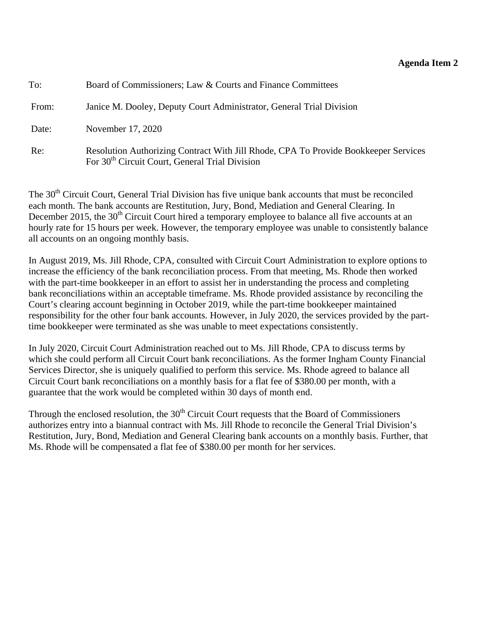#### **Agenda Item 2**

<span id="page-15-0"></span>

| To:   | Board of Commissioners; Law & Courts and Finance Committees                                                                                       |
|-------|---------------------------------------------------------------------------------------------------------------------------------------------------|
| From: | Janice M. Dooley, Deputy Court Administrator, General Trial Division                                                                              |
| Date: | November 17, 2020                                                                                                                                 |
| Re:   | Resolution Authorizing Contract With Jill Rhode, CPA To Provide Bookkeeper Services<br>For 30 <sup>th</sup> Circuit Court, General Trial Division |

The 30<sup>th</sup> Circuit Court, General Trial Division has five unique bank accounts that must be reconciled each month. The bank accounts are Restitution, Jury, Bond, Mediation and General Clearing. In December 2015, the 30<sup>th</sup> Circuit Court hired a temporary employee to balance all five accounts at an hourly rate for 15 hours per week. However, the temporary employee was unable to consistently balance all accounts on an ongoing monthly basis.

In August 2019, Ms. Jill Rhode, CPA, consulted with Circuit Court Administration to explore options to increase the efficiency of the bank reconciliation process. From that meeting, Ms. Rhode then worked with the part-time bookkeeper in an effort to assist her in understanding the process and completing bank reconciliations within an acceptable timeframe. Ms. Rhode provided assistance by reconciling the Court's clearing account beginning in October 2019, while the part-time bookkeeper maintained responsibility for the other four bank accounts. However, in July 2020, the services provided by the parttime bookkeeper were terminated as she was unable to meet expectations consistently.

In July 2020, Circuit Court Administration reached out to Ms. Jill Rhode, CPA to discuss terms by which she could perform all Circuit Court bank reconciliations. As the former Ingham County Financial Services Director, she is uniquely qualified to perform this service. Ms. Rhode agreed to balance all Circuit Court bank reconciliations on a monthly basis for a flat fee of \$380.00 per month, with a guarantee that the work would be completed within 30 days of month end.

Through the enclosed resolution, the  $30<sup>th</sup>$  Circuit Court requests that the Board of Commissioners authorizes entry into a biannual contract with Ms. Jill Rhode to reconcile the General Trial Division's Restitution, Jury, Bond, Mediation and General Clearing bank accounts on a monthly basis. Further, that Ms. Rhode will be compensated a flat fee of \$380.00 per month for her services.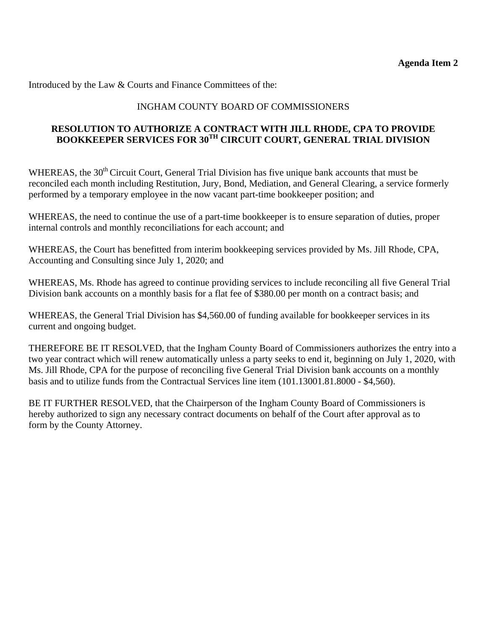Introduced by the Law & Courts and Finance Committees of the:

## INGHAM COUNTY BOARD OF COMMISSIONERS

## **RESOLUTION TO AUTHORIZE A CONTRACT WITH JILL RHODE, CPA TO PROVIDE BOOKKEEPER SERVICES FOR 30TH CIRCUIT COURT, GENERAL TRIAL DIVISION**

WHEREAS, the 30<sup>th</sup> Circuit Court, General Trial Division has five unique bank accounts that must be reconciled each month including Restitution, Jury, Bond, Mediation, and General Clearing, a service formerly performed by a temporary employee in the now vacant part-time bookkeeper position; and

WHEREAS, the need to continue the use of a part-time bookkeeper is to ensure separation of duties, proper internal controls and monthly reconciliations for each account; and

WHEREAS, the Court has benefitted from interim bookkeeping services provided by Ms. Jill Rhode, CPA, Accounting and Consulting since July 1, 2020; and

WHEREAS, Ms. Rhode has agreed to continue providing services to include reconciling all five General Trial Division bank accounts on a monthly basis for a flat fee of \$380.00 per month on a contract basis; and

WHEREAS, the General Trial Division has \$4,560.00 of funding available for bookkeeper services in its current and ongoing budget.

THEREFORE BE IT RESOLVED, that the Ingham County Board of Commissioners authorizes the entry into a two year contract which will renew automatically unless a party seeks to end it, beginning on July 1, 2020, with Ms. Jill Rhode, CPA for the purpose of reconciling five General Trial Division bank accounts on a monthly basis and to utilize funds from the Contractual Services line item (101.13001.81.8000 - \$4,560).

BE IT FURTHER RESOLVED, that the Chairperson of the Ingham County Board of Commissioners is hereby authorized to sign any necessary contract documents on behalf of the Court after approval as to form by the County Attorney.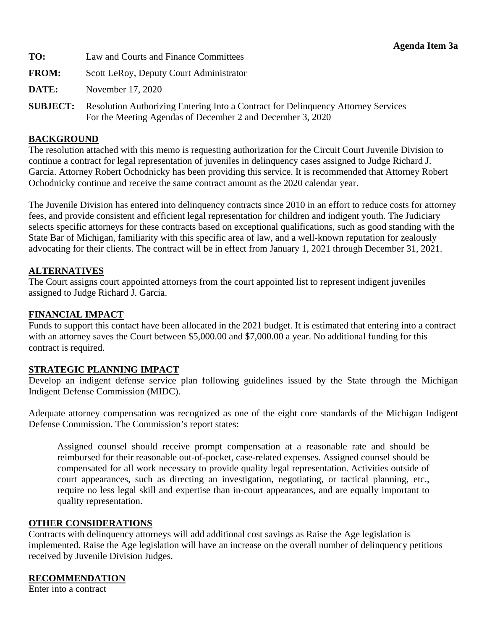<span id="page-17-0"></span>

| TO:             | Law and Courts and Finance Committees                                                                                                           |  |
|-----------------|-------------------------------------------------------------------------------------------------------------------------------------------------|--|
| <b>FROM:</b>    | Scott LeRoy, Deputy Court Administrator                                                                                                         |  |
| DATE:           | November 17, 2020                                                                                                                               |  |
| <b>SUBJECT:</b> | Resolution Authorizing Entering Into a Contract for Delinquency Attorney Services<br>For the Meeting Agendas of December 2 and December 3, 2020 |  |

#### **BACKGROUND**

The resolution attached with this memo is requesting authorization for the Circuit Court Juvenile Division to continue a contract for legal representation of juveniles in delinquency cases assigned to Judge Richard J. Garcia. Attorney Robert Ochodnicky has been providing this service. It is recommended that Attorney Robert Ochodnicky continue and receive the same contract amount as the 2020 calendar year.

The Juvenile Division has entered into delinquency contracts since 2010 in an effort to reduce costs for attorney fees, and provide consistent and efficient legal representation for children and indigent youth. The Judiciary selects specific attorneys for these contracts based on exceptional qualifications, such as good standing with the State Bar of Michigan, familiarity with this specific area of law, and a well-known reputation for zealously advocating for their clients. The contract will be in effect from January 1, 2021 through December 31, 2021.

#### **ALTERNATIVES**

The Court assigns court appointed attorneys from the court appointed list to represent indigent juveniles assigned to Judge Richard J. Garcia.

#### **FINANCIAL IMPACT**

Funds to support this contact have been allocated in the 2021 budget. It is estimated that entering into a contract with an attorney saves the Court between \$5,000.00 and \$7,000.00 a year. No additional funding for this contract is required.

#### **STRATEGIC PLANNING IMPACT**

Develop an indigent defense service plan following guidelines issued by the State through the Michigan Indigent Defense Commission (MIDC).

Adequate attorney compensation was recognized as one of the eight core standards of the Michigan Indigent Defense Commission. The Commission's report states:

Assigned counsel should receive prompt compensation at a reasonable rate and should be reimbursed for their reasonable out-of-pocket, case-related expenses. Assigned counsel should be compensated for all work necessary to provide quality legal representation. Activities outside of court appearances, such as directing an investigation, negotiating, or tactical planning, etc., require no less legal skill and expertise than in-court appearances, and are equally important to quality representation.

#### **OTHER CONSIDERATIONS**

Contracts with delinquency attorneys will add additional cost savings as Raise the Age legislation is implemented. Raise the Age legislation will have an increase on the overall number of delinquency petitions received by Juvenile Division Judges.

#### **RECOMMENDATION**

Enter into a contract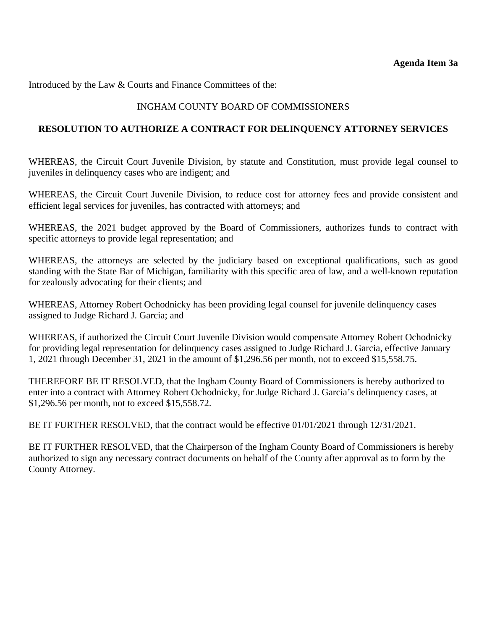Introduced by the Law & Courts and Finance Committees of the:

#### INGHAM COUNTY BOARD OF COMMISSIONERS

#### **RESOLUTION TO AUTHORIZE A CONTRACT FOR DELINQUENCY ATTORNEY SERVICES**

WHEREAS, the Circuit Court Juvenile Division, by statute and Constitution, must provide legal counsel to juveniles in delinquency cases who are indigent; and

WHEREAS, the Circuit Court Juvenile Division, to reduce cost for attorney fees and provide consistent and efficient legal services for juveniles, has contracted with attorneys; and

WHEREAS, the 2021 budget approved by the Board of Commissioners, authorizes funds to contract with specific attorneys to provide legal representation; and

WHEREAS, the attorneys are selected by the judiciary based on exceptional qualifications, such as good standing with the State Bar of Michigan, familiarity with this specific area of law, and a well-known reputation for zealously advocating for their clients; and

WHEREAS, Attorney Robert Ochodnicky has been providing legal counsel for juvenile delinquency cases assigned to Judge Richard J. Garcia; and

WHEREAS, if authorized the Circuit Court Juvenile Division would compensate Attorney Robert Ochodnicky for providing legal representation for delinquency cases assigned to Judge Richard J. Garcia, effective January 1, 2021 through December 31, 2021 in the amount of \$1,296.56 per month, not to exceed \$15,558.75.

THEREFORE BE IT RESOLVED, that the Ingham County Board of Commissioners is hereby authorized to enter into a contract with Attorney Robert Ochodnicky, for Judge Richard J. Garcia's delinquency cases, at \$1,296.56 per month, not to exceed \$15,558.72.

BE IT FURTHER RESOLVED, that the contract would be effective 01/01/2021 through 12/31/2021.

BE IT FURTHER RESOLVED, that the Chairperson of the Ingham County Board of Commissioners is hereby authorized to sign any necessary contract documents on behalf of the County after approval as to form by the County Attorney.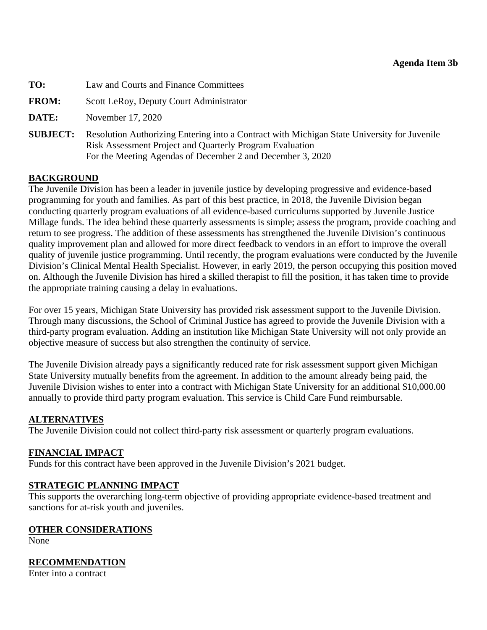<span id="page-19-0"></span>

| TO:             | Law and Courts and Finance Committees                                                                                                                                                                                        |  |
|-----------------|------------------------------------------------------------------------------------------------------------------------------------------------------------------------------------------------------------------------------|--|
| <b>FROM:</b>    | Scott LeRoy, Deputy Court Administrator                                                                                                                                                                                      |  |
| DATE:           | November 17, 2020                                                                                                                                                                                                            |  |
| <b>SUBJECT:</b> | Resolution Authorizing Entering into a Contract with Michigan State University for Juvenile<br><b>Risk Assessment Project and Quarterly Program Evaluation</b><br>For the Meeting Agendas of December 2 and December 3, 2020 |  |

## **BACKGROUND**

The Juvenile Division has been a leader in juvenile justice by developing progressive and evidence-based programming for youth and families. As part of this best practice, in 2018, the Juvenile Division began conducting quarterly program evaluations of all evidence-based curriculums supported by Juvenile Justice Millage funds. The idea behind these quarterly assessments is simple; assess the program, provide coaching and return to see progress. The addition of these assessments has strengthened the Juvenile Division's continuous quality improvement plan and allowed for more direct feedback to vendors in an effort to improve the overall quality of juvenile justice programming. Until recently, the program evaluations were conducted by the Juvenile Division's Clinical Mental Health Specialist. However, in early 2019, the person occupying this position moved on. Although the Juvenile Division has hired a skilled therapist to fill the position, it has taken time to provide the appropriate training causing a delay in evaluations.

For over 15 years, Michigan State University has provided risk assessment support to the Juvenile Division. Through many discussions, the School of Criminal Justice has agreed to provide the Juvenile Division with a third-party program evaluation. Adding an institution like Michigan State University will not only provide an objective measure of success but also strengthen the continuity of service.

The Juvenile Division already pays a significantly reduced rate for risk assessment support given Michigan State University mutually benefits from the agreement. In addition to the amount already being paid, the Juvenile Division wishes to enter into a contract with Michigan State University for an additional \$10,000.00 annually to provide third party program evaluation. This service is Child Care Fund reimbursable.

## **ALTERNATIVES**

The Juvenile Division could not collect third-party risk assessment or quarterly program evaluations.

## **FINANCIAL IMPACT**

Funds for this contract have been approved in the Juvenile Division's 2021 budget.

## **STRATEGIC PLANNING IMPACT**

This supports the overarching long-term objective of providing appropriate evidence-based treatment and sanctions for at-risk youth and juveniles.

## **OTHER CONSIDERATIONS**

None

## **RECOMMENDATION**

Enter into a contract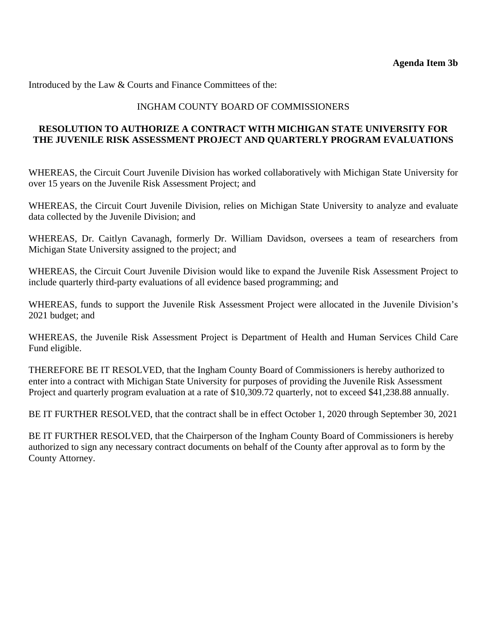Introduced by the Law & Courts and Finance Committees of the:

#### INGHAM COUNTY BOARD OF COMMISSIONERS

## **RESOLUTION TO AUTHORIZE A CONTRACT WITH MICHIGAN STATE UNIVERSITY FOR THE JUVENILE RISK ASSESSMENT PROJECT AND QUARTERLY PROGRAM EVALUATIONS**

WHEREAS, the Circuit Court Juvenile Division has worked collaboratively with Michigan State University for over 15 years on the Juvenile Risk Assessment Project; and

WHEREAS, the Circuit Court Juvenile Division, relies on Michigan State University to analyze and evaluate data collected by the Juvenile Division; and

WHEREAS, Dr. Caitlyn Cavanagh, formerly Dr. William Davidson, oversees a team of researchers from Michigan State University assigned to the project; and

WHEREAS, the Circuit Court Juvenile Division would like to expand the Juvenile Risk Assessment Project to include quarterly third-party evaluations of all evidence based programming; and

WHEREAS, funds to support the Juvenile Risk Assessment Project were allocated in the Juvenile Division's 2021 budget; and

WHEREAS, the Juvenile Risk Assessment Project is Department of Health and Human Services Child Care Fund eligible.

THEREFORE BE IT RESOLVED, that the Ingham County Board of Commissioners is hereby authorized to enter into a contract with Michigan State University for purposes of providing the Juvenile Risk Assessment Project and quarterly program evaluation at a rate of \$10,309.72 quarterly, not to exceed \$41,238.88 annually.

BE IT FURTHER RESOLVED, that the contract shall be in effect October 1, 2020 through September 30, 2021

BE IT FURTHER RESOLVED, that the Chairperson of the Ingham County Board of Commissioners is hereby authorized to sign any necessary contract documents on behalf of the County after approval as to form by the County Attorney.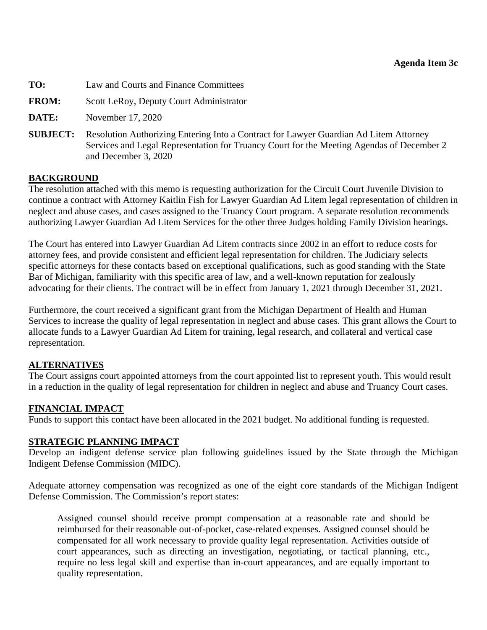# <span id="page-21-0"></span>**TO:** Law and Courts and Finance Committees

- **FROM:** Scott LeRoy, Deputy Court Administrator
- **DATE:** November 17, 2020
- **SUBJECT:** Resolution Authorizing Entering Into a Contract for Lawyer Guardian Ad Litem Attorney Services and Legal Representation for Truancy Court for the Meeting Agendas of December 2 and December 3, 2020

#### **BACKGROUND**

The resolution attached with this memo is requesting authorization for the Circuit Court Juvenile Division to continue a contract with Attorney Kaitlin Fish for Lawyer Guardian Ad Litem legal representation of children in neglect and abuse cases, and cases assigned to the Truancy Court program. A separate resolution recommends authorizing Lawyer Guardian Ad Litem Services for the other three Judges holding Family Division hearings.

The Court has entered into Lawyer Guardian Ad Litem contracts since 2002 in an effort to reduce costs for attorney fees, and provide consistent and efficient legal representation for children. The Judiciary selects specific attorneys for these contacts based on exceptional qualifications, such as good standing with the State Bar of Michigan, familiarity with this specific area of law, and a well-known reputation for zealously advocating for their clients. The contract will be in effect from January 1, 2021 through December 31, 2021.

Furthermore, the court received a significant grant from the Michigan Department of Health and Human Services to increase the quality of legal representation in neglect and abuse cases. This grant allows the Court to allocate funds to a Lawyer Guardian Ad Litem for training, legal research, and collateral and vertical case representation.

#### **ALTERNATIVES**

The Court assigns court appointed attorneys from the court appointed list to represent youth. This would result in a reduction in the quality of legal representation for children in neglect and abuse and Truancy Court cases.

#### **FINANCIAL IMPACT**

Funds to support this contact have been allocated in the 2021 budget. No additional funding is requested.

#### **STRATEGIC PLANNING IMPACT**

Develop an indigent defense service plan following guidelines issued by the State through the Michigan Indigent Defense Commission (MIDC).

Adequate attorney compensation was recognized as one of the eight core standards of the Michigan Indigent Defense Commission. The Commission's report states:

Assigned counsel should receive prompt compensation at a reasonable rate and should be reimbursed for their reasonable out-of-pocket, case-related expenses. Assigned counsel should be compensated for all work necessary to provide quality legal representation. Activities outside of court appearances, such as directing an investigation, negotiating, or tactical planning, etc., require no less legal skill and expertise than in-court appearances, and are equally important to quality representation.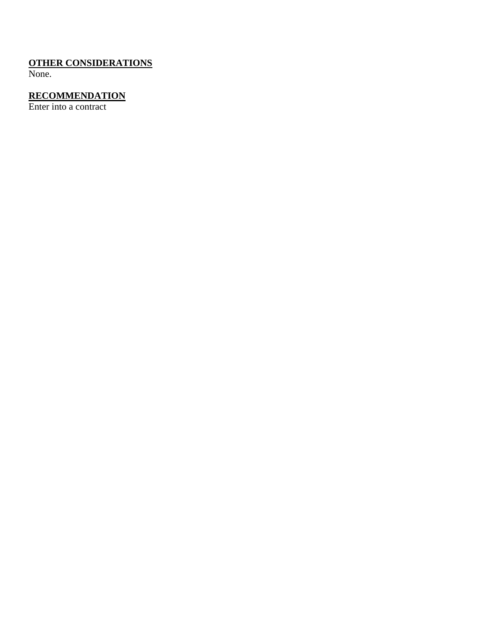# **OTHER CONSIDERATIONS**

None.

## **RECOMMENDATION**

Enter into a contract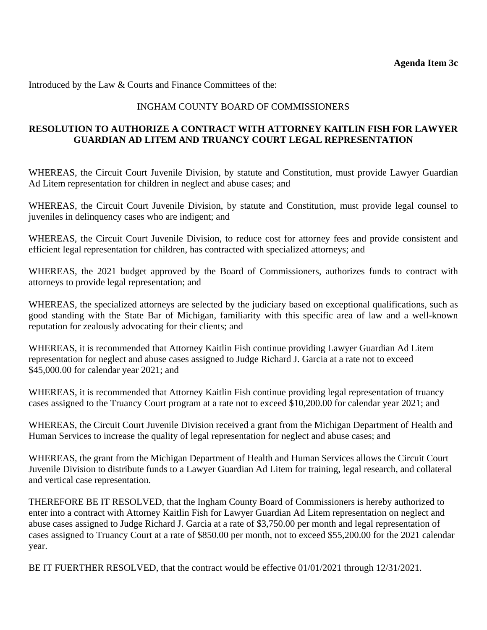Introduced by the Law & Courts and Finance Committees of the:

#### INGHAM COUNTY BOARD OF COMMISSIONERS

#### **RESOLUTION TO AUTHORIZE A CONTRACT WITH ATTORNEY KAITLIN FISH FOR LAWYER GUARDIAN AD LITEM AND TRUANCY COURT LEGAL REPRESENTATION**

WHEREAS, the Circuit Court Juvenile Division, by statute and Constitution, must provide Lawyer Guardian Ad Litem representation for children in neglect and abuse cases; and

WHEREAS, the Circuit Court Juvenile Division, by statute and Constitution, must provide legal counsel to juveniles in delinquency cases who are indigent; and

WHEREAS, the Circuit Court Juvenile Division, to reduce cost for attorney fees and provide consistent and efficient legal representation for children, has contracted with specialized attorneys; and

WHEREAS, the 2021 budget approved by the Board of Commissioners, authorizes funds to contract with attorneys to provide legal representation; and

WHEREAS, the specialized attorneys are selected by the judiciary based on exceptional qualifications, such as good standing with the State Bar of Michigan, familiarity with this specific area of law and a well-known reputation for zealously advocating for their clients; and

WHEREAS, it is recommended that Attorney Kaitlin Fish continue providing Lawyer Guardian Ad Litem representation for neglect and abuse cases assigned to Judge Richard J. Garcia at a rate not to exceed \$45,000.00 for calendar year 2021; and

WHEREAS, it is recommended that Attorney Kaitlin Fish continue providing legal representation of truancy cases assigned to the Truancy Court program at a rate not to exceed \$10,200.00 for calendar year 2021; and

WHEREAS, the Circuit Court Juvenile Division received a grant from the Michigan Department of Health and Human Services to increase the quality of legal representation for neglect and abuse cases; and

WHEREAS, the grant from the Michigan Department of Health and Human Services allows the Circuit Court Juvenile Division to distribute funds to a Lawyer Guardian Ad Litem for training, legal research, and collateral and vertical case representation.

THEREFORE BE IT RESOLVED, that the Ingham County Board of Commissioners is hereby authorized to enter into a contract with Attorney Kaitlin Fish for Lawyer Guardian Ad Litem representation on neglect and abuse cases assigned to Judge Richard J. Garcia at a rate of \$3,750.00 per month and legal representation of cases assigned to Truancy Court at a rate of \$850.00 per month, not to exceed \$55,200.00 for the 2021 calendar year.

BE IT FUERTHER RESOLVED, that the contract would be effective 01/01/2021 through 12/31/2021.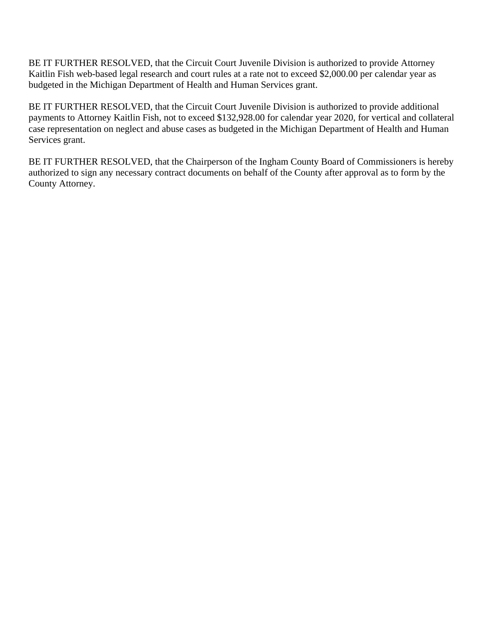BE IT FURTHER RESOLVED, that the Circuit Court Juvenile Division is authorized to provide Attorney Kaitlin Fish web-based legal research and court rules at a rate not to exceed \$2,000.00 per calendar year as budgeted in the Michigan Department of Health and Human Services grant.

BE IT FURTHER RESOLVED, that the Circuit Court Juvenile Division is authorized to provide additional payments to Attorney Kaitlin Fish, not to exceed \$132,928.00 for calendar year 2020, for vertical and collateral case representation on neglect and abuse cases as budgeted in the Michigan Department of Health and Human Services grant.

BE IT FURTHER RESOLVED, that the Chairperson of the Ingham County Board of Commissioners is hereby authorized to sign any necessary contract documents on behalf of the County after approval as to form by the County Attorney.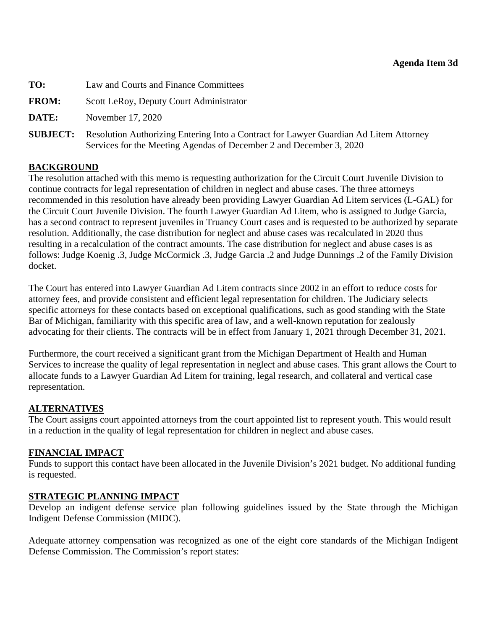<span id="page-25-0"></span>

| TO:             | Law and Courts and Finance Committees                                                                                                                        |
|-----------------|--------------------------------------------------------------------------------------------------------------------------------------------------------------|
| <b>FROM:</b>    | Scott LeRoy, Deputy Court Administrator                                                                                                                      |
| DATE:           | November 17, 2020                                                                                                                                            |
| <b>SUBJECT:</b> | Resolution Authorizing Entering Into a Contract for Lawyer Guardian Ad Litem Attorney<br>Services for the Meeting Agendas of December 2 and December 3, 2020 |

## **BACKGROUND**

The resolution attached with this memo is requesting authorization for the Circuit Court Juvenile Division to continue contracts for legal representation of children in neglect and abuse cases. The three attorneys recommended in this resolution have already been providing Lawyer Guardian Ad Litem services (L-GAL) for the Circuit Court Juvenile Division. The fourth Lawyer Guardian Ad Litem, who is assigned to Judge Garcia, has a second contract to represent juveniles in Truancy Court cases and is requested to be authorized by separate resolution. Additionally, the case distribution for neglect and abuse cases was recalculated in 2020 thus resulting in a recalculation of the contract amounts. The case distribution for neglect and abuse cases is as follows: Judge Koenig .3, Judge McCormick .3, Judge Garcia .2 and Judge Dunnings .2 of the Family Division docket.

The Court has entered into Lawyer Guardian Ad Litem contracts since 2002 in an effort to reduce costs for attorney fees, and provide consistent and efficient legal representation for children. The Judiciary selects specific attorneys for these contacts based on exceptional qualifications, such as good standing with the State Bar of Michigan, familiarity with this specific area of law, and a well-known reputation for zealously advocating for their clients. The contracts will be in effect from January 1, 2021 through December 31, 2021.

Furthermore, the court received a significant grant from the Michigan Department of Health and Human Services to increase the quality of legal representation in neglect and abuse cases. This grant allows the Court to allocate funds to a Lawyer Guardian Ad Litem for training, legal research, and collateral and vertical case representation.

## **ALTERNATIVES**

The Court assigns court appointed attorneys from the court appointed list to represent youth. This would result in a reduction in the quality of legal representation for children in neglect and abuse cases.

## **FINANCIAL IMPACT**

Funds to support this contact have been allocated in the Juvenile Division's 2021 budget. No additional funding is requested.

## **STRATEGIC PLANNING IMPACT**

Develop an indigent defense service plan following guidelines issued by the State through the Michigan Indigent Defense Commission (MIDC).

Adequate attorney compensation was recognized as one of the eight core standards of the Michigan Indigent Defense Commission. The Commission's report states: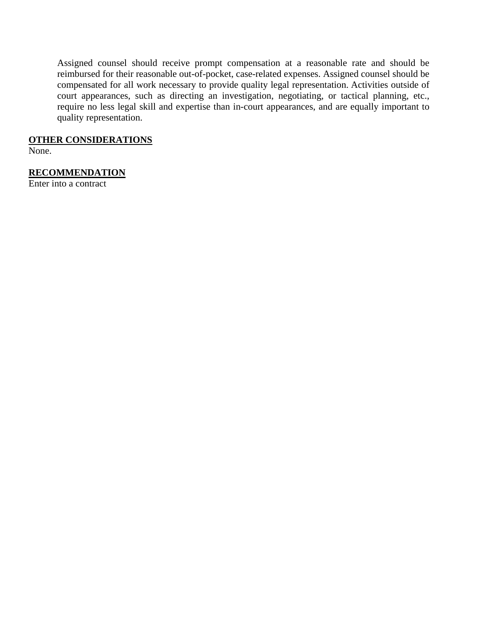Assigned counsel should receive prompt compensation at a reasonable rate and should be reimbursed for their reasonable out-of-pocket, case-related expenses. Assigned counsel should be compensated for all work necessary to provide quality legal representation. Activities outside of court appearances, such as directing an investigation, negotiating, or tactical planning, etc., require no less legal skill and expertise than in-court appearances, and are equally important to quality representation.

#### **OTHER CONSIDERATIONS**

None.

## **RECOMMENDATION**

Enter into a contract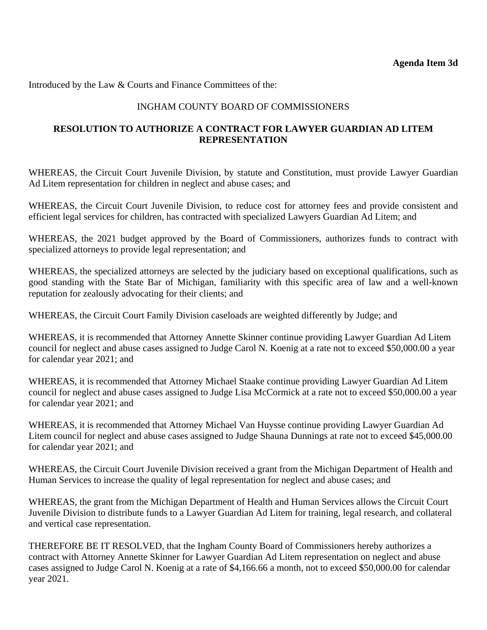Introduced by the Law & Courts and Finance Committees of the:

## INGHAM COUNTY BOARD OF COMMISSIONERS

## **RESOLUTION TO AUTHORIZE A CONTRACT FOR LAWYER GUARDIAN AD LITEM REPRESENTATION**

WHEREAS, the Circuit Court Juvenile Division, by statute and Constitution, must provide Lawyer Guardian Ad Litem representation for children in neglect and abuse cases; and

WHEREAS, the Circuit Court Juvenile Division, to reduce cost for attorney fees and provide consistent and efficient legal services for children, has contracted with specialized Lawyers Guardian Ad Litem; and

WHEREAS, the 2021 budget approved by the Board of Commissioners, authorizes funds to contract with specialized attorneys to provide legal representation; and

WHEREAS, the specialized attorneys are selected by the judiciary based on exceptional qualifications, such as good standing with the State Bar of Michigan, familiarity with this specific area of law and a well-known reputation for zealously advocating for their clients; and

WHEREAS, the Circuit Court Family Division caseloads are weighted differently by Judge; and

WHEREAS, it is recommended that Attorney Annette Skinner continue providing Lawyer Guardian Ad Litem council for neglect and abuse cases assigned to Judge Carol N. Koenig at a rate not to exceed \$50,000.00 a year for calendar year 2021; and

WHEREAS, it is recommended that Attorney Michael Staake continue providing Lawyer Guardian Ad Litem council for neglect and abuse cases assigned to Judge Lisa McCormick at a rate not to exceed \$50,000.00 a year for calendar year 2021; and

WHEREAS, it is recommended that Attorney Michael Van Huysse continue providing Lawyer Guardian Ad Litem council for neglect and abuse cases assigned to Judge Shauna Dunnings at rate not to exceed \$45,000.00 for calendar year 2021; and

WHEREAS, the Circuit Court Juvenile Division received a grant from the Michigan Department of Health and Human Services to increase the quality of legal representation for neglect and abuse cases; and

WHEREAS, the grant from the Michigan Department of Health and Human Services allows the Circuit Court Juvenile Division to distribute funds to a Lawyer Guardian Ad Litem for training, legal research, and collateral and vertical case representation.

THEREFORE BE IT RESOLVED, that the Ingham County Board of Commissioners hereby authorizes a contract with Attorney Annette Skinner for Lawyer Guardian Ad Litem representation on neglect and abuse cases assigned to Judge Carol N. Koenig at a rate of \$4,166.66 a month, not to exceed \$50,000.00 for calendar year 2021.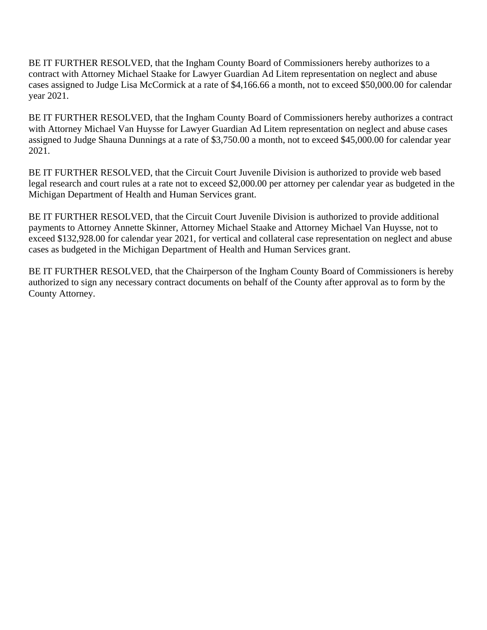BE IT FURTHER RESOLVED, that the Ingham County Board of Commissioners hereby authorizes to a contract with Attorney Michael Staake for Lawyer Guardian Ad Litem representation on neglect and abuse cases assigned to Judge Lisa McCormick at a rate of \$4,166.66 a month, not to exceed \$50,000.00 for calendar year 2021.

BE IT FURTHER RESOLVED, that the Ingham County Board of Commissioners hereby authorizes a contract with Attorney Michael Van Huysse for Lawyer Guardian Ad Litem representation on neglect and abuse cases assigned to Judge Shauna Dunnings at a rate of \$3,750.00 a month, not to exceed \$45,000.00 for calendar year 2021.

BE IT FURTHER RESOLVED, that the Circuit Court Juvenile Division is authorized to provide web based legal research and court rules at a rate not to exceed \$2,000.00 per attorney per calendar year as budgeted in the Michigan Department of Health and Human Services grant.

BE IT FURTHER RESOLVED, that the Circuit Court Juvenile Division is authorized to provide additional payments to Attorney Annette Skinner, Attorney Michael Staake and Attorney Michael Van Huysse, not to exceed \$132,928.00 for calendar year 2021, for vertical and collateral case representation on neglect and abuse cases as budgeted in the Michigan Department of Health and Human Services grant.

BE IT FURTHER RESOLVED, that the Chairperson of the Ingham County Board of Commissioners is hereby authorized to sign any necessary contract documents on behalf of the County after approval as to form by the County Attorney.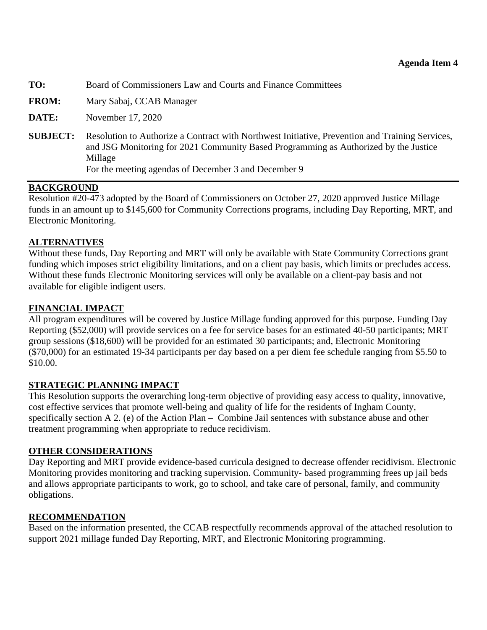<span id="page-29-0"></span>

| TO:<br>Board of Commissioners Law and Courts and Finance Committees |
|---------------------------------------------------------------------|
|---------------------------------------------------------------------|

**FROM:** Mary Sabaj, CCAB Manager

**DATE:** November 17, 2020

**SUBJECT:** Resolution to Authorize a Contract with Northwest Initiative, Prevention and Training Services, and JSG Monitoring for 2021 Community Based Programming as Authorized by the Justice Millage For the meeting agendas of December 3 and December 9

#### **BACKGROUND**

Resolution #20-473 adopted by the Board of Commissioners on October 27, 2020 approved Justice Millage funds in an amount up to \$145,600 for Community Corrections programs, including Day Reporting, MRT, and Electronic Monitoring.

#### **ALTERNATIVES**

Without these funds, Day Reporting and MRT will only be available with State Community Corrections grant funding which imposes strict eligibility limitations, and on a client pay basis, which limits or precludes access. Without these funds Electronic Monitoring services will only be available on a client-pay basis and not available for eligible indigent users.

#### **FINANCIAL IMPACT**

All program expenditures will be covered by Justice Millage funding approved for this purpose. Funding Day Reporting (\$52,000) will provide services on a fee for service bases for an estimated 40-50 participants; MRT group sessions (\$18,600) will be provided for an estimated 30 participants; and, Electronic Monitoring (\$70,000) for an estimated 19-34 participants per day based on a per diem fee schedule ranging from \$5.50 to \$10.00.

#### **STRATEGIC PLANNING IMPACT**

This Resolution supports the overarching long-term objective of providing easy access to quality, innovative, cost effective services that promote well-being and quality of life for the residents of Ingham County, specifically section A 2. (e) of the Action Plan – Combine Jail sentences with substance abuse and other treatment programming when appropriate to reduce recidivism.

#### **OTHER CONSIDERATIONS**

Day Reporting and MRT provide evidence-based curricula designed to decrease offender recidivism. Electronic Monitoring provides monitoring and tracking supervision. Community- based programming frees up jail beds and allows appropriate participants to work, go to school, and take care of personal, family, and community obligations.

#### **RECOMMENDATION**

Based on the information presented, the CCAB respectfully recommends approval of the attached resolution to support 2021 millage funded Day Reporting, MRT, and Electronic Monitoring programming.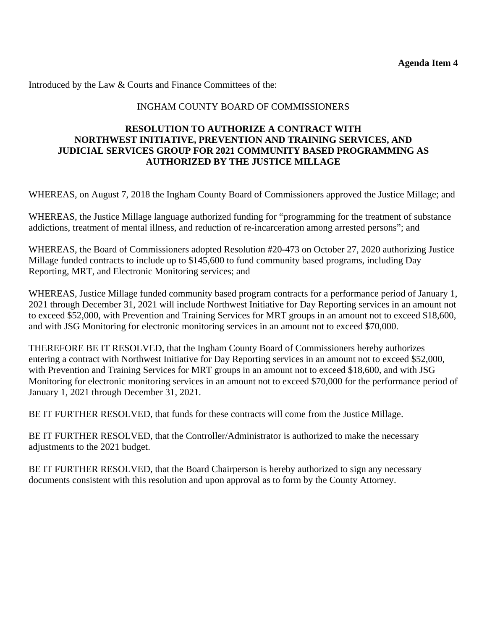Introduced by the Law & Courts and Finance Committees of the:

#### INGHAM COUNTY BOARD OF COMMISSIONERS

#### **RESOLUTION TO AUTHORIZE A CONTRACT WITH NORTHWEST INITIATIVE, PREVENTION AND TRAINING SERVICES, AND JUDICIAL SERVICES GROUP FOR 2021 COMMUNITY BASED PROGRAMMING AS AUTHORIZED BY THE JUSTICE MILLAGE**

WHEREAS, on August 7, 2018 the Ingham County Board of Commissioners approved the Justice Millage; and

WHEREAS, the Justice Millage language authorized funding for "programming for the treatment of substance addictions, treatment of mental illness, and reduction of re-incarceration among arrested persons"; and

WHEREAS, the Board of Commissioners adopted Resolution #20-473 on October 27, 2020 authorizing Justice Millage funded contracts to include up to \$145,600 to fund community based programs, including Day Reporting, MRT, and Electronic Monitoring services; and

WHEREAS, Justice Millage funded community based program contracts for a performance period of January 1, 2021 through December 31, 2021 will include Northwest Initiative for Day Reporting services in an amount not to exceed \$52,000, with Prevention and Training Services for MRT groups in an amount not to exceed \$18,600, and with JSG Monitoring for electronic monitoring services in an amount not to exceed \$70,000.

THEREFORE BE IT RESOLVED, that the Ingham County Board of Commissioners hereby authorizes entering a contract with Northwest Initiative for Day Reporting services in an amount not to exceed \$52,000, with Prevention and Training Services for MRT groups in an amount not to exceed \$18,600, and with JSG Monitoring for electronic monitoring services in an amount not to exceed \$70,000 for the performance period of January 1, 2021 through December 31, 2021.

BE IT FURTHER RESOLVED, that funds for these contracts will come from the Justice Millage.

BE IT FURTHER RESOLVED, that the Controller/Administrator is authorized to make the necessary adjustments to the 2021 budget.

BE IT FURTHER RESOLVED, that the Board Chairperson is hereby authorized to sign any necessary documents consistent with this resolution and upon approval as to form by the County Attorney.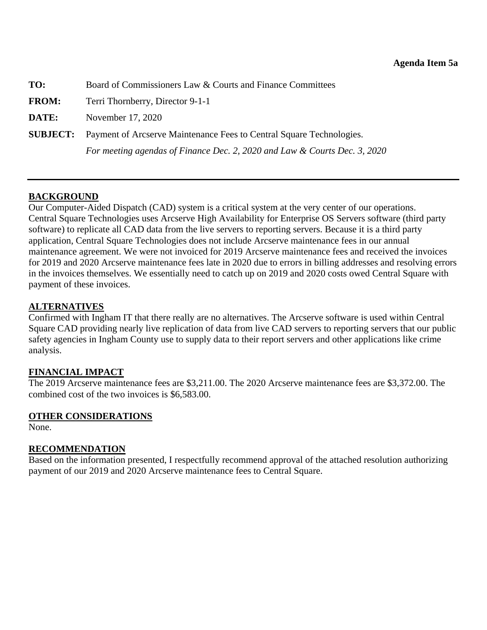<span id="page-31-0"></span>

| TO:          | Board of Commissioners Law & Courts and Finance Committees                           |  |
|--------------|--------------------------------------------------------------------------------------|--|
| <b>FROM:</b> | Terri Thornberry, Director 9-1-1                                                     |  |
| DATE:        | November 17, 2020                                                                    |  |
|              | <b>SUBJECT:</b> Payment of Arcserve Maintenance Fees to Central Square Technologies. |  |
|              | For meeting agendas of Finance Dec. 2, 2020 and Law & Courts Dec. 3, 2020            |  |

## **BACKGROUND**

Our Computer-Aided Dispatch (CAD) system is a critical system at the very center of our operations. Central Square Technologies uses Arcserve High Availability for Enterprise OS Servers software (third party software) to replicate all CAD data from the live servers to reporting servers. Because it is a third party application, Central Square Technologies does not include Arcserve maintenance fees in our annual maintenance agreement. We were not invoiced for 2019 Arcserve maintenance fees and received the invoices for 2019 and 2020 Arcserve maintenance fees late in 2020 due to errors in billing addresses and resolving errors in the invoices themselves. We essentially need to catch up on 2019 and 2020 costs owed Central Square with payment of these invoices.

#### **ALTERNATIVES**

Confirmed with Ingham IT that there really are no alternatives. The Arcserve software is used within Central Square CAD providing nearly live replication of data from live CAD servers to reporting servers that our public safety agencies in Ingham County use to supply data to their report servers and other applications like crime analysis.

## **FINANCIAL IMPACT**

The 2019 Arcserve maintenance fees are \$3,211.00. The 2020 Arcserve maintenance fees are \$3,372.00. The combined cost of the two invoices is \$6,583.00.

## **OTHER CONSIDERATIONS**

None.

## **RECOMMENDATION**

Based on the information presented, I respectfully recommend approval of the attached resolution authorizing payment of our 2019 and 2020 Arcserve maintenance fees to Central Square.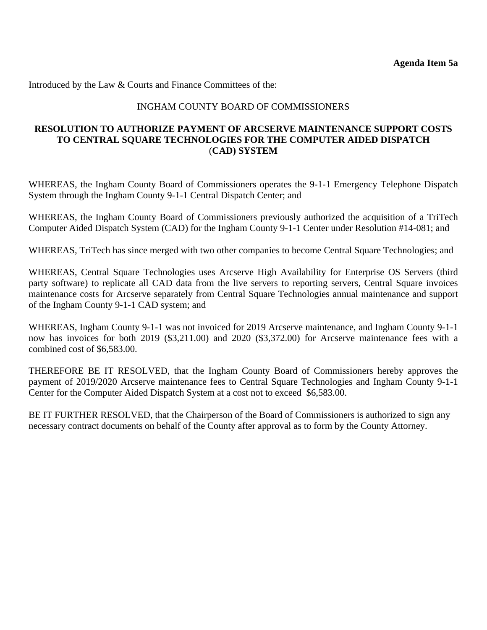Introduced by the Law & Courts and Finance Committees of the:

#### INGHAM COUNTY BOARD OF COMMISSIONERS

#### **RESOLUTION TO AUTHORIZE PAYMENT OF ARCSERVE MAINTENANCE SUPPORT COSTS TO CENTRAL SQUARE TECHNOLOGIES FOR THE COMPUTER AIDED DISPATCH** (**CAD) SYSTEM**

WHEREAS, the Ingham County Board of Commissioners operates the 9-1-1 Emergency Telephone Dispatch System through the Ingham County 9-1-1 Central Dispatch Center; and

WHEREAS, the Ingham County Board of Commissioners previously authorized the acquisition of a TriTech Computer Aided Dispatch System (CAD) for the Ingham County 9-1-1 Center under Resolution #14-081; and

WHEREAS, TriTech has since merged with two other companies to become Central Square Technologies; and

WHEREAS, Central Square Technologies uses Arcserve High Availability for Enterprise OS Servers (third party software) to replicate all CAD data from the live servers to reporting servers, Central Square invoices maintenance costs for Arcserve separately from Central Square Technologies annual maintenance and support of the Ingham County 9-1-1 CAD system; and

WHEREAS, Ingham County 9-1-1 was not invoiced for 2019 Arcserve maintenance, and Ingham County 9-1-1 now has invoices for both 2019 (\$3,211.00) and 2020 (\$3,372.00) for Arcserve maintenance fees with a combined cost of \$6,583.00.

THEREFORE BE IT RESOLVED, that the Ingham County Board of Commissioners hereby approves the payment of 2019/2020 Arcserve maintenance fees to Central Square Technologies and Ingham County 9-1-1 Center for the Computer Aided Dispatch System at a cost not to exceed \$6,583.00.

BE IT FURTHER RESOLVED, that the Chairperson of the Board of Commissioners is authorized to sign any necessary contract documents on behalf of the County after approval as to form by the County Attorney.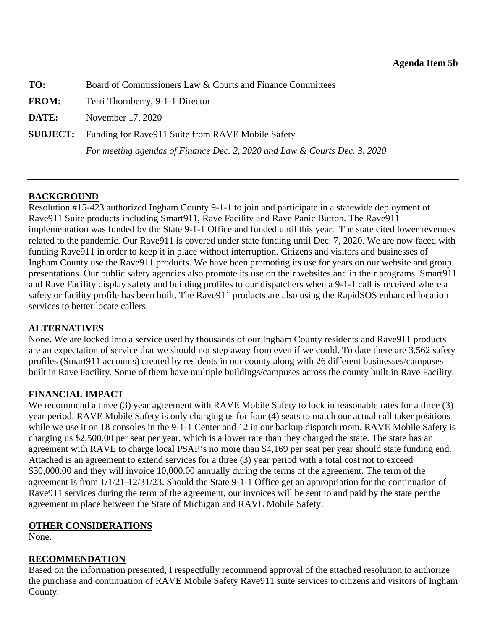<span id="page-33-0"></span>

| TO:          | Board of Commissioners Law & Courts and Finance Committees                |  |
|--------------|---------------------------------------------------------------------------|--|
| <b>FROM:</b> | Terri Thornberry, 9-1-1 Director                                          |  |
| DATE:        | November 17, 2020                                                         |  |
|              | <b>SUBJECT:</b> Funding for Rave 911 Suite from RAVE Mobile Safety        |  |
|              | For meeting agendas of Finance Dec. 2, 2020 and Law & Courts Dec. 3, 2020 |  |

## **BACKGROUND**

Resolution #15-423 authorized Ingham County 9-1-1 to join and participate in a statewide deployment of Rave911 Suite products including Smart911, Rave Facility and Rave Panic Button. The Rave911 implementation was funded by the State 9-1-1 Office and funded until this year. The state cited lower revenues related to the pandemic. Our Rave911 is covered under state funding until Dec. 7, 2020. We are now faced with funding Rave911 in order to keep it in place without interruption. Citizens and visitors and businesses of Ingham County use the Rave911 products. We have been promoting its use for years on our website and group presentations. Our public safety agencies also promote its use on their websites and in their programs. Smart911 and Rave Facility display safety and building profiles to our dispatchers when a 9-1-1 call is received where a safety or facility profile has been built. The Rave911 products are also using the RapidSOS enhanced location services to better locate callers.

#### **ALTERNATIVES**

None. We are locked into a service used by thousands of our Ingham County residents and Rave911 products are an expectation of service that we should not step away from even if we could. To date there are 3,562 safety profiles (Smart911 accounts) created by residents in our county along with 26 different businesses/campuses built in Rave Facility. Some of them have multiple buildings/campuses across the county built in Rave Facility.

## **FINANCIAL IMPACT**

We recommend a three (3) year agreement with RAVE Mobile Safety to lock in reasonable rates for a three (3) year period. RAVE Mobile Safety is only charging us for four (4) seats to match our actual call taker positions while we use it on 18 consoles in the 9-1-1 Center and 12 in our backup dispatch room. RAVE Mobile Safety is charging us \$2,500.00 per seat per year, which is a lower rate than they charged the state. The state has an agreement with RAVE to charge local PSAP's no more than \$4,169 per seat per year should state funding end. Attached is an agreement to extend services for a three (3) year period with a total cost not to exceed \$30,000.00 and they will invoice 10,000.00 annually during the terms of the agreement. The term of the agreement is from 1/1/21-12/31/23. Should the State 9-1-1 Office get an appropriation for the continuation of Rave911 services during the term of the agreement, our invoices will be sent to and paid by the state per the agreement in place between the State of Michigan and RAVE Mobile Safety.

#### **OTHER CONSIDERATIONS**

None.

#### **RECOMMENDATION**

Based on the information presented, I respectfully recommend approval of the attached resolution to authorize the purchase and continuation of RAVE Mobile Safety Rave911 suite services to citizens and visitors of Ingham County.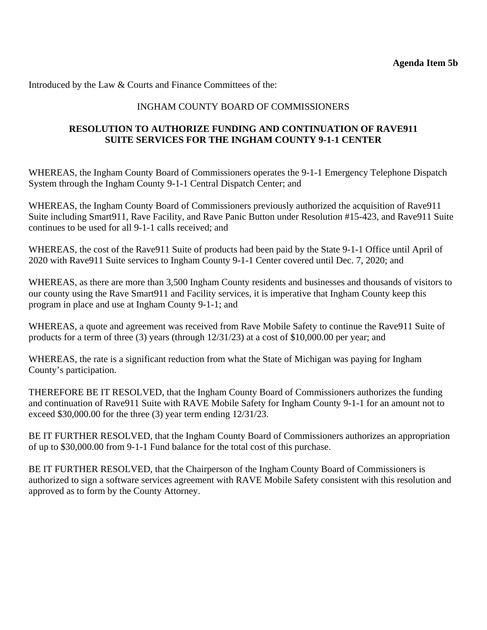Introduced by the Law & Courts and Finance Committees of the:

#### INGHAM COUNTY BOARD OF COMMISSIONERS

#### **RESOLUTION TO AUTHORIZE FUNDING AND CONTINUATION OF RAVE911 SUITE SERVICES FOR THE INGHAM COUNTY 9-1-1 CENTER**

WHEREAS, the Ingham County Board of Commissioners operates the 9-1-1 Emergency Telephone Dispatch System through the Ingham County 9-1-1 Central Dispatch Center; and

WHEREAS, the Ingham County Board of Commissioners previously authorized the acquisition of Rave911 Suite including Smart911, Rave Facility, and Rave Panic Button under Resolution #15-423, and Rave911 Suite continues to be used for all 9-1-1 calls received; and

WHEREAS, the cost of the Rave911 Suite of products had been paid by the State 9-1-1 Office until April of 2020 with Rave911 Suite services to Ingham County 9-1-1 Center covered until Dec. 7, 2020; and

WHEREAS, as there are more than 3,500 Ingham County residents and businesses and thousands of visitors to our county using the Rave Smart911 and Facility services, it is imperative that Ingham County keep this program in place and use at Ingham County 9-1-1; and

WHEREAS, a quote and agreement was received from Rave Mobile Safety to continue the Rave911 Suite of products for a term of three (3) years (through 12/31/23) at a cost of \$10,000.00 per year; and

WHEREAS, the rate is a significant reduction from what the State of Michigan was paying for Ingham County's participation.

THEREFORE BE IT RESOLVED, that the Ingham County Board of Commissioners authorizes the funding and continuation of Rave911 Suite with RAVE Mobile Safety for Ingham County 9-1-1 for an amount not to exceed \$30,000.00 for the three (3) year term ending 12/31/23.

BE IT FURTHER RESOLVED, that the Ingham County Board of Commissioners authorizes an appropriation of up to \$30,000.00 from 9-1-1 Fund balance for the total cost of this purchase.

BE IT FURTHER RESOLVED, that the Chairperson of the Ingham County Board of Commissioners is authorized to sign a software services agreement with RAVE Mobile Safety consistent with this resolution and approved as to form by the County Attorney.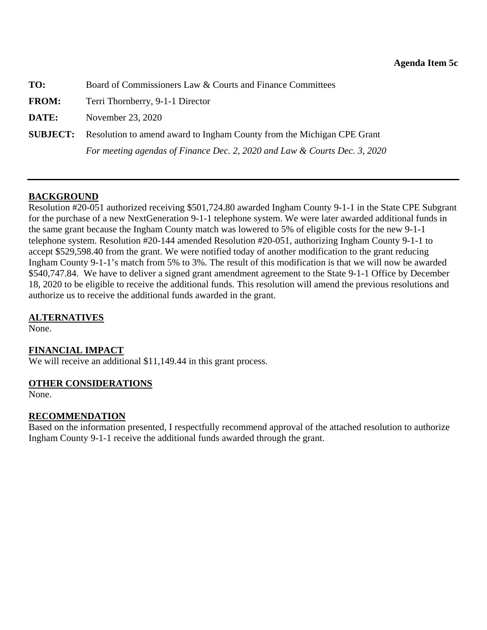<span id="page-35-0"></span>

| TO:          | Board of Commissioners Law & Courts and Finance Committees                             |  |
|--------------|----------------------------------------------------------------------------------------|--|
| <b>FROM:</b> | Terri Thornberry, 9-1-1 Director                                                       |  |
| DATE:        | November 23, 2020                                                                      |  |
|              | <b>SUBJECT:</b> Resolution to amend award to Ingham County from the Michigan CPE Grant |  |
|              | For meeting agendas of Finance Dec. 2, 2020 and Law & Courts Dec. 3, 2020              |  |

## **BACKGROUND**

Resolution #20-051 authorized receiving \$501,724.80 awarded Ingham County 9-1-1 in the State CPE Subgrant for the purchase of a new NextGeneration 9-1-1 telephone system. We were later awarded additional funds in the same grant because the Ingham County match was lowered to 5% of eligible costs for the new 9-1-1 telephone system. Resolution #20-144 amended Resolution #20-051, authorizing Ingham County 9-1-1 to accept \$529,598.40 from the grant. We were notified today of another modification to the grant reducing Ingham County 9-1-1's match from 5% to 3%. The result of this modification is that we will now be awarded \$540,747.84. We have to deliver a signed grant amendment agreement to the State 9-1-1 Office by December 18, 2020 to be eligible to receive the additional funds. This resolution will amend the previous resolutions and authorize us to receive the additional funds awarded in the grant.

## **ALTERNATIVES**

None.

## **FINANCIAL IMPACT**

We will receive an additional \$11,149.44 in this grant process.

#### **OTHER CONSIDERATIONS**

None.

## **RECOMMENDATION**

Based on the information presented, I respectfully recommend approval of the attached resolution to authorize Ingham County 9-1-1 receive the additional funds awarded through the grant.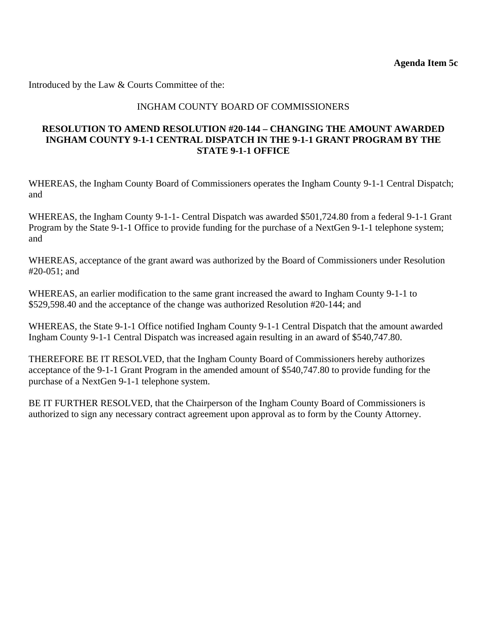Introduced by the Law & Courts Committee of the:

#### INGHAM COUNTY BOARD OF COMMISSIONERS

#### **RESOLUTION TO AMEND RESOLUTION #20-144 – CHANGING THE AMOUNT AWARDED INGHAM COUNTY 9-1-1 CENTRAL DISPATCH IN THE 9-1-1 GRANT PROGRAM BY THE STATE 9-1-1 OFFICE**

WHEREAS, the Ingham County Board of Commissioners operates the Ingham County 9-1-1 Central Dispatch; and

WHEREAS, the Ingham County 9-1-1- Central Dispatch was awarded \$501,724.80 from a federal 9-1-1 Grant Program by the State 9-1-1 Office to provide funding for the purchase of a NextGen 9-1-1 telephone system; and

WHEREAS, acceptance of the grant award was authorized by the Board of Commissioners under Resolution #20-051; and

WHEREAS, an earlier modification to the same grant increased the award to Ingham County 9-1-1 to \$529,598.40 and the acceptance of the change was authorized Resolution #20-144; and

WHEREAS, the State 9-1-1 Office notified Ingham County 9-1-1 Central Dispatch that the amount awarded Ingham County 9-1-1 Central Dispatch was increased again resulting in an award of \$540,747.80.

THEREFORE BE IT RESOLVED, that the Ingham County Board of Commissioners hereby authorizes acceptance of the 9-1-1 Grant Program in the amended amount of \$540,747.80 to provide funding for the purchase of a NextGen 9-1-1 telephone system.

BE IT FURTHER RESOLVED, that the Chairperson of the Ingham County Board of Commissioners is authorized to sign any necessary contract agreement upon approval as to form by the County Attorney.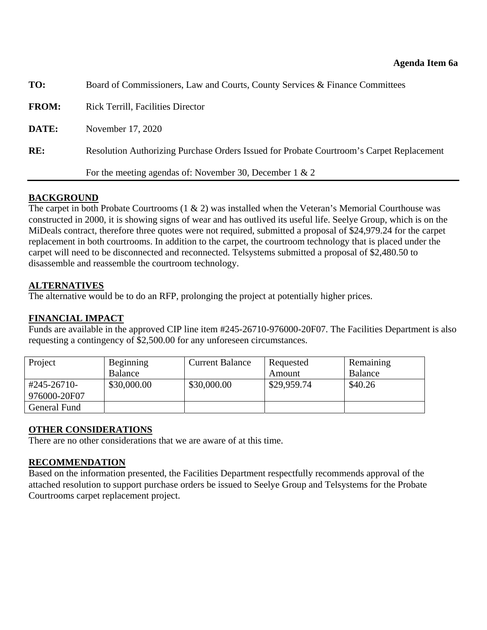<span id="page-37-0"></span>

| TO:          | Board of Commissioners, Law and Courts, County Services & Finance Committees             |  |
|--------------|------------------------------------------------------------------------------------------|--|
| <b>FROM:</b> | <b>Rick Terrill, Facilities Director</b>                                                 |  |
| DATE:        | November 17, 2020                                                                        |  |
| RE:          | Resolution Authorizing Purchase Orders Issued for Probate Courtroom's Carpet Replacement |  |
|              | For the meeting agendas of: November 30, December 1 & 2                                  |  |

#### **BACKGROUND**

The carpet in both Probate Courtrooms  $(1 \& 2)$  was installed when the Veteran's Memorial Courthouse was constructed in 2000, it is showing signs of wear and has outlived its useful life. Seelye Group, which is on the MiDeals contract, therefore three quotes were not required, submitted a proposal of \$24,979.24 for the carpet replacement in both courtrooms. In addition to the carpet, the courtroom technology that is placed under the carpet will need to be disconnected and reconnected. Telsystems submitted a proposal of \$2,480.50 to disassemble and reassemble the courtroom technology.

#### **ALTERNATIVES**

The alternative would be to do an RFP, prolonging the project at potentially higher prices.

## **FINANCIAL IMPACT**

Funds are available in the approved CIP line item #245-26710-976000-20F07. The Facilities Department is also requesting a contingency of \$2,500.00 for any unforeseen circumstances.

| Project                | <b>Beginning</b> | <b>Current Balance</b> | Requested   | Remaining |
|------------------------|------------------|------------------------|-------------|-----------|
|                        | Balance          |                        | Amount      | Balance   |
| $\text{\#}245 - 26710$ | \$30,000.00      | \$30,000.00            | \$29,959.74 | \$40.26   |
| 976000-20F07           |                  |                        |             |           |
| General Fund           |                  |                        |             |           |

## **OTHER CONSIDERATIONS**

There are no other considerations that we are aware of at this time.

#### **RECOMMENDATION**

Based on the information presented, the Facilities Department respectfully recommends approval of the attached resolution to support purchase orders be issued to Seelye Group and Telsystems for the Probate Courtrooms carpet replacement project.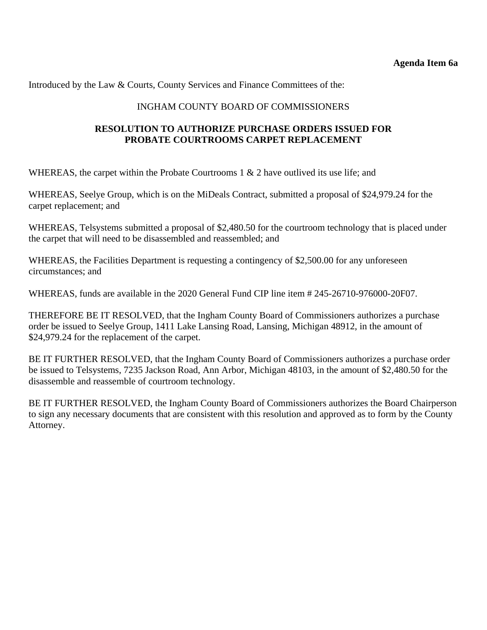Introduced by the Law & Courts, County Services and Finance Committees of the:

#### INGHAM COUNTY BOARD OF COMMISSIONERS

## **RESOLUTION TO AUTHORIZE PURCHASE ORDERS ISSUED FOR PROBATE COURTROOMS CARPET REPLACEMENT**

WHEREAS, the carpet within the Probate Courtrooms 1 & 2 have outlived its use life; and

WHEREAS, Seelye Group, which is on the MiDeals Contract, submitted a proposal of \$24,979.24 for the carpet replacement; and

WHEREAS, Telsystems submitted a proposal of \$2,480.50 for the courtroom technology that is placed under the carpet that will need to be disassembled and reassembled; and

WHEREAS, the Facilities Department is requesting a contingency of \$2,500.00 for any unforeseen circumstances; and

WHEREAS, funds are available in the 2020 General Fund CIP line item # 245-26710-976000-20F07.

THEREFORE BE IT RESOLVED, that the Ingham County Board of Commissioners authorizes a purchase order be issued to Seelye Group, 1411 Lake Lansing Road, Lansing, Michigan 48912, in the amount of \$24,979.24 for the replacement of the carpet.

BE IT FURTHER RESOLVED, that the Ingham County Board of Commissioners authorizes a purchase order be issued to Telsystems, 7235 Jackson Road, Ann Arbor, Michigan 48103, in the amount of \$2,480.50 for the disassemble and reassemble of courtroom technology.

BE IT FURTHER RESOLVED, the Ingham County Board of Commissioners authorizes the Board Chairperson to sign any necessary documents that are consistent with this resolution and approved as to form by the County Attorney.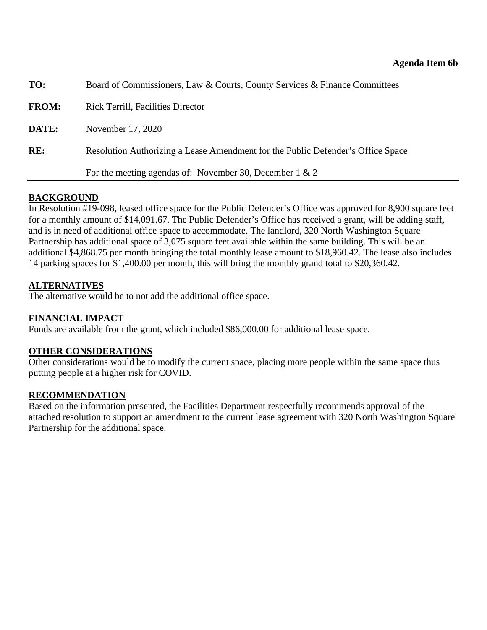<span id="page-39-0"></span>

| TO:          | Board of Commissioners, Law & Courts, County Services & Finance Committees      |  |
|--------------|---------------------------------------------------------------------------------|--|
| <b>FROM:</b> | <b>Rick Terrill, Facilities Director</b>                                        |  |
| DATE:        | November 17, 2020                                                               |  |
| RE:          | Resolution Authorizing a Lease Amendment for the Public Defender's Office Space |  |
|              | For the meeting agendas of: November 30, December 1 & 2                         |  |

## **BACKGROUND**

In Resolution #19-098, leased office space for the Public Defender's Office was approved for 8,900 square feet for a monthly amount of \$14,091.67. The Public Defender's Office has received a grant, will be adding staff, and is in need of additional office space to accommodate. The landlord, 320 North Washington Square Partnership has additional space of 3,075 square feet available within the same building. This will be an additional \$4,868.75 per month bringing the total monthly lease amount to \$18,960.42. The lease also includes 14 parking spaces for \$1,400.00 per month, this will bring the monthly grand total to \$20,360.42.

## **ALTERNATIVES**

The alternative would be to not add the additional office space.

## **FINANCIAL IMPACT**

Funds are available from the grant, which included \$86,000.00 for additional lease space.

## **OTHER CONSIDERATIONS**

Other considerations would be to modify the current space, placing more people within the same space thus putting people at a higher risk for COVID.

## **RECOMMENDATION**

Based on the information presented, the Facilities Department respectfully recommends approval of the attached resolution to support an amendment to the current lease agreement with 320 North Washington Square Partnership for the additional space.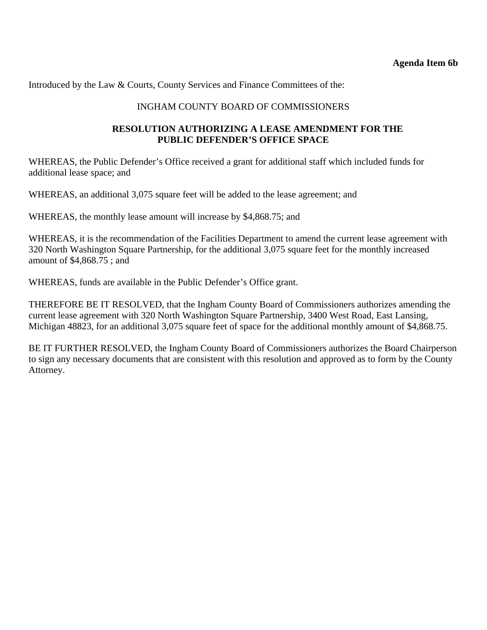Introduced by the Law & Courts, County Services and Finance Committees of the:

#### INGHAM COUNTY BOARD OF COMMISSIONERS

#### **RESOLUTION AUTHORIZING A LEASE AMENDMENT FOR THE PUBLIC DEFENDER'S OFFICE SPACE**

WHEREAS, the Public Defender's Office received a grant for additional staff which included funds for additional lease space; and

WHEREAS, an additional 3,075 square feet will be added to the lease agreement; and

WHEREAS, the monthly lease amount will increase by \$4,868.75; and

WHEREAS, it is the recommendation of the Facilities Department to amend the current lease agreement with 320 North Washington Square Partnership, for the additional 3,075 square feet for the monthly increased amount of \$4,868.75 ; and

WHEREAS, funds are available in the Public Defender's Office grant.

THEREFORE BE IT RESOLVED, that the Ingham County Board of Commissioners authorizes amending the current lease agreement with 320 North Washington Square Partnership, 3400 West Road, East Lansing, Michigan 48823, for an additional 3,075 square feet of space for the additional monthly amount of \$4,868.75.

BE IT FURTHER RESOLVED, the Ingham County Board of Commissioners authorizes the Board Chairperson to sign any necessary documents that are consistent with this resolution and approved as to form by the County Attorney.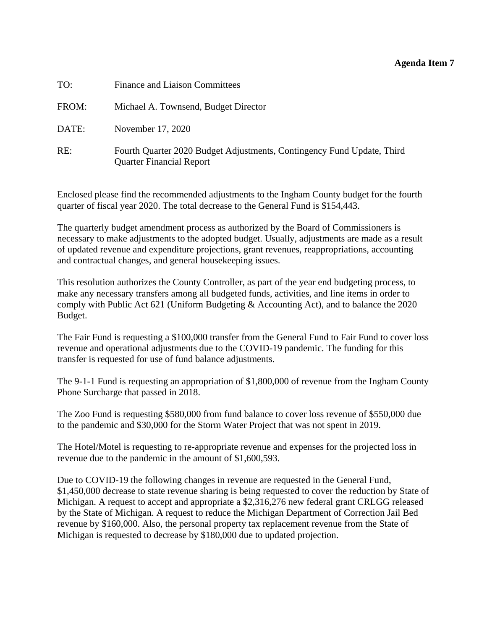#### **Agenda Item 7**

<span id="page-41-0"></span>

| TO:   | Finance and Liaison Committees                                                                            |
|-------|-----------------------------------------------------------------------------------------------------------|
| FROM: | Michael A. Townsend, Budget Director                                                                      |
| DATE: | November 17, 2020                                                                                         |
| RE:   | Fourth Quarter 2020 Budget Adjustments, Contingency Fund Update, Third<br><b>Quarter Financial Report</b> |

Enclosed please find the recommended adjustments to the Ingham County budget for the fourth quarter of fiscal year 2020. The total decrease to the General Fund is \$154,443.

The quarterly budget amendment process as authorized by the Board of Commissioners is necessary to make adjustments to the adopted budget. Usually, adjustments are made as a result of updated revenue and expenditure projections, grant revenues, reappropriations, accounting and contractual changes, and general housekeeping issues.

This resolution authorizes the County Controller, as part of the year end budgeting process, to make any necessary transfers among all budgeted funds, activities, and line items in order to comply with Public Act 621 (Uniform Budgeting & Accounting Act), and to balance the 2020 Budget.

The Fair Fund is requesting a \$100,000 transfer from the General Fund to Fair Fund to cover loss revenue and operational adjustments due to the COVID-19 pandemic. The funding for this transfer is requested for use of fund balance adjustments.

The 9-1-1 Fund is requesting an appropriation of \$1,800,000 of revenue from the Ingham County Phone Surcharge that passed in 2018.

The Zoo Fund is requesting \$580,000 from fund balance to cover loss revenue of \$550,000 due to the pandemic and \$30,000 for the Storm Water Project that was not spent in 2019.

The Hotel/Motel is requesting to re-appropriate revenue and expenses for the projected loss in revenue due to the pandemic in the amount of \$1,600,593.

Due to COVID-19 the following changes in revenue are requested in the General Fund, \$1,450,000 decrease to state revenue sharing is being requested to cover the reduction by State of Michigan. A request to accept and appropriate a \$2,316,276 new federal grant CRLGG released by the State of Michigan. A request to reduce the Michigan Department of Correction Jail Bed revenue by \$160,000. Also, the personal property tax replacement revenue from the State of Michigan is requested to decrease by \$180,000 due to updated projection.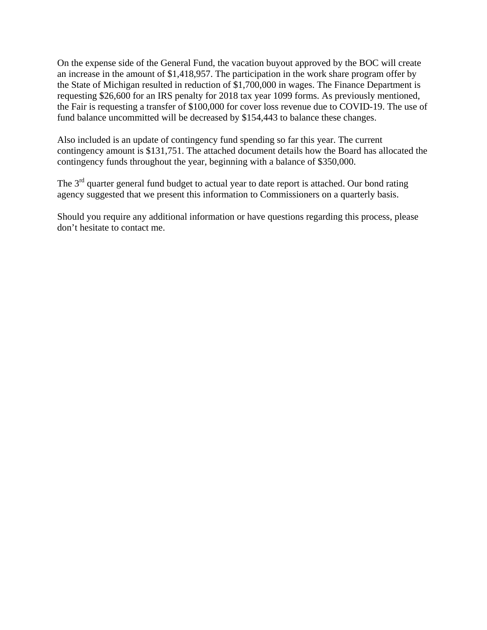On the expense side of the General Fund, the vacation buyout approved by the BOC will create an increase in the amount of \$1,418,957. The participation in the work share program offer by the State of Michigan resulted in reduction of \$1,700,000 in wages. The Finance Department is requesting \$26,600 for an IRS penalty for 2018 tax year 1099 forms. As previously mentioned, the Fair is requesting a transfer of \$100,000 for cover loss revenue due to COVID-19. The use of fund balance uncommitted will be decreased by \$154,443 to balance these changes.

Also included is an update of contingency fund spending so far this year. The current contingency amount is \$131,751. The attached document details how the Board has allocated the contingency funds throughout the year, beginning with a balance of \$350,000.

The 3<sup>rd</sup> quarter general fund budget to actual year to date report is attached. Our bond rating agency suggested that we present this information to Commissioners on a quarterly basis.

Should you require any additional information or have questions regarding this process, please don't hesitate to contact me.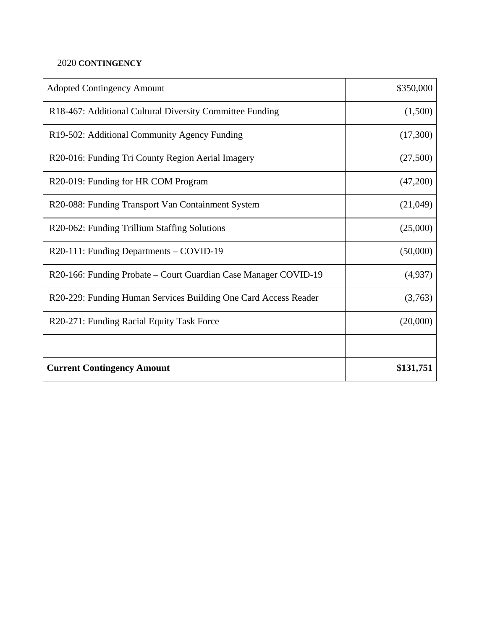## 2020 **CONTINGENCY**

| <b>Adopted Contingency Amount</b>                               | \$350,000 |
|-----------------------------------------------------------------|-----------|
| R18-467: Additional Cultural Diversity Committee Funding        | (1,500)   |
| R19-502: Additional Community Agency Funding                    | (17,300)  |
| R20-016: Funding Tri County Region Aerial Imagery               | (27,500)  |
| R20-019: Funding for HR COM Program                             | (47,200)  |
| R20-088: Funding Transport Van Containment System               | (21,049)  |
| R20-062: Funding Trillium Staffing Solutions                    | (25,000)  |
| R20-111: Funding Departments – COVID-19                         | (50,000)  |
| R20-166: Funding Probate – Court Guardian Case Manager COVID-19 | (4,937)   |
| R20-229: Funding Human Services Building One Card Access Reader | (3,763)   |
| R20-271: Funding Racial Equity Task Force                       | (20,000)  |
|                                                                 |           |
| <b>Current Contingency Amount</b>                               | \$131,751 |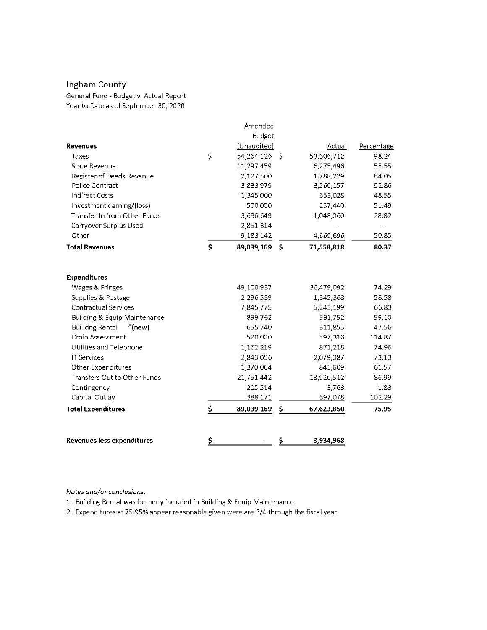## Ingham County

General Fund - Budget v. Actual Report Year to Date as of September 30, 2020

|                                    | Amended             |    |            |            |
|------------------------------------|---------------------|----|------------|------------|
|                                    | Budget              |    |            |            |
| Revenues                           | (Unaudited)         |    | Actual     | Percentage |
| Taxes                              | \$<br>54,264,126 \$ |    | 53,306,712 | 98.24      |
| State Revenue                      | 11,297,459          |    | 6,275,496  | 55.55      |
| Register of Deeds Revenue          | 2,127,500           |    | 1,788,229  | 84.05      |
| Police Contract                    | 3,833,979           |    | 3,560,157  | 92.86      |
| <b>Indirect Costs</b>              | 1,345,000           |    | 653,028    | 48.55      |
| Investment earning/(loss)          | 500,000             |    | 257,440    | 51.49      |
| Transfer In from Other Funds       | 3,636,649           |    | 1,048,060  | 28.82      |
| Carryover Surplus Used             | 2,851,314           |    |            |            |
| Other                              | 9,183,142           |    | 4,669,696  | 50.85      |
| <b>Total Revenues</b>              | \$<br>89,039,169 \$ |    | 71,558,818 | 80.37      |
| <b>Expenditures</b>                |                     |    |            |            |
| Wages & Fringes                    | 49,100,937          |    | 36,479,092 | 74.29      |
| Supplies & Postage                 | 2,296,539           |    | 1,345,368  | 58.58      |
| <b>Contractual Services</b>        | 7,845,775           |    | 5,243,199  | 66.83      |
| Building & Equip Maintenance       | 899,762             |    | 531,752    | 59.10      |
| <b>Builidng Rental</b><br>$*(new)$ | 655,740             |    | 311,855    | 47.56      |
| Drain Assessment                   | 520,000             |    | 597,316    | 114.87     |
| Utilities and Telephone            | 1,162,219           |    | 871,218    | 74.96      |
| <b>IT Services</b>                 | 2,843,006           |    | 2,079,087  | 73.13      |
| Other Expenditures                 | 1,370,064           |    | 843,609    | 61.57      |
| Transfers Out to Other Funds       | 21,751,442          |    | 18,920,512 | 86.99      |
| Contingency                        | 205,514             |    | 3,763      | 1.83       |
| Capital Outlay                     | 388,171             |    | 397,078    | 102.29     |
| <b>Total Expenditures</b>          | \$<br>89,039,169    | \$ | 67,623,850 | 75.95      |
|                                    |                     |    |            |            |
| <b>Revenues less expenditures</b>  | \$                  | S  | 3,934,968  |            |

Notes and/or conclusions:

1. Building Rental was formerly included in Building & Equip Maintenance.

2. Expenditures at 75.95% appear reasonable given were are 3/4 through the fiscal year.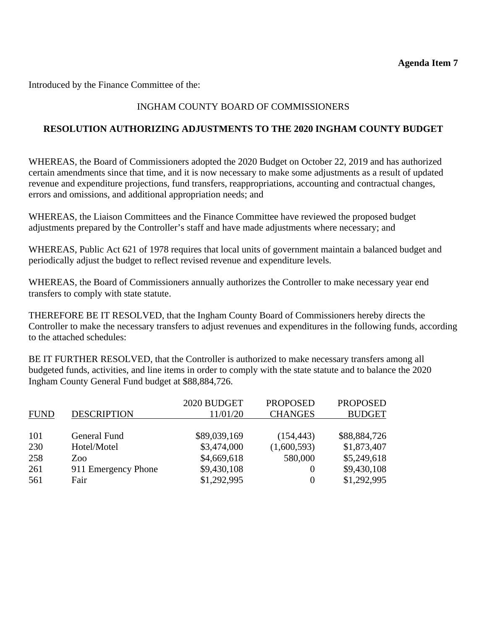Introduced by the Finance Committee of the:

## INGHAM COUNTY BOARD OF COMMISSIONERS

## **RESOLUTION AUTHORIZING ADJUSTMENTS TO THE 2020 INGHAM COUNTY BUDGET**

WHEREAS, the Board of Commissioners adopted the 2020 Budget on October 22, 2019 and has authorized certain amendments since that time, and it is now necessary to make some adjustments as a result of updated revenue and expenditure projections, fund transfers, reappropriations, accounting and contractual changes, errors and omissions, and additional appropriation needs; and

WHEREAS, the Liaison Committees and the Finance Committee have reviewed the proposed budget adjustments prepared by the Controller's staff and have made adjustments where necessary; and

WHEREAS, Public Act 621 of 1978 requires that local units of government maintain a balanced budget and periodically adjust the budget to reflect revised revenue and expenditure levels.

WHEREAS, the Board of Commissioners annually authorizes the Controller to make necessary year end transfers to comply with state statute.

THEREFORE BE IT RESOLVED, that the Ingham County Board of Commissioners hereby directs the Controller to make the necessary transfers to adjust revenues and expenditures in the following funds, according to the attached schedules:

BE IT FURTHER RESOLVED, that the Controller is authorized to make necessary transfers among all budgeted funds, activities, and line items in order to comply with the state statute and to balance the 2020 Ingham County General Fund budget at \$88,884,726.

|             |                     | 2020 BUDGET  | <b>PROPOSED</b> | <b>PROPOSED</b> |
|-------------|---------------------|--------------|-----------------|-----------------|
| <b>FUND</b> | <b>DESCRIPTION</b>  | 11/01/20     | <b>CHANGES</b>  | <b>BUDGET</b>   |
|             |                     |              |                 |                 |
| 101         | General Fund        | \$89,039,169 | (154, 443)      | \$88,884,726    |
| 230         | Hotel/Motel         | \$3,474,000  | (1,600,593)     | \$1,873,407     |
| 258         | Zoo                 | \$4,669,618  | 580,000         | \$5,249,618     |
| 261         | 911 Emergency Phone | \$9,430,108  |                 | \$9,430,108     |
| 561         | Fair                | \$1,292,995  |                 | \$1,292,995     |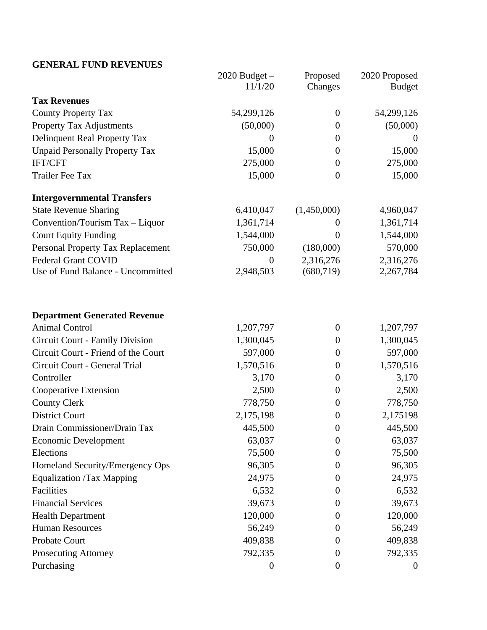## **GENERAL FUND REVENUES**

|                                       | $2020$ Budget $-$ | Proposed         | 2020 Proposed    |
|---------------------------------------|-------------------|------------------|------------------|
|                                       | 11/1/20           | <b>Changes</b>   | <b>Budget</b>    |
| <b>Tax Revenues</b>                   |                   |                  |                  |
| <b>County Property Tax</b>            | 54,299,126        | $\overline{0}$   | 54,299,126       |
| <b>Property Tax Adjustments</b>       | (50,000)          | $\overline{0}$   | (50,000)         |
| Delinquent Real Property Tax          | $\boldsymbol{0}$  | $\boldsymbol{0}$ | $\theta$         |
| <b>Unpaid Personally Property Tax</b> | 15,000            | $\overline{0}$   | 15,000           |
| <b>IFT/CFT</b>                        | 275,000           | $\boldsymbol{0}$ | 275,000          |
| <b>Trailer Fee Tax</b>                | 15,000            | $\boldsymbol{0}$ | 15,000           |
| <b>Intergovernmental Transfers</b>    |                   |                  |                  |
| <b>State Revenue Sharing</b>          | 6,410,047         | (1,450,000)      | 4,960,047        |
| Convention/Tourism Tax - Liquor       | 1,361,714         | $\theta$         | 1,361,714        |
| <b>Court Equity Funding</b>           | 1,544,000         | $\theta$         | 1,544,000        |
| Personal Property Tax Replacement     | 750,000           | (180,000)        | 570,000          |
| <b>Federal Grant COVID</b>            | $\boldsymbol{0}$  | 2,316,276        | 2,316,276        |
| Use of Fund Balance - Uncommitted     | 2,948,503         | (680, 719)       | 2,267,784        |
| <b>Department Generated Revenue</b>   |                   |                  |                  |
| <b>Animal Control</b>                 | 1,207,797         | $\boldsymbol{0}$ | 1,207,797        |
| Circuit Court - Family Division       | 1,300,045         | $\boldsymbol{0}$ | 1,300,045        |
| Circuit Court - Friend of the Court   | 597,000           | $\boldsymbol{0}$ | 597,000          |
| Circuit Court - General Trial         | 1,570,516         | $\boldsymbol{0}$ | 1,570,516        |
| Controller                            | 3,170             | $\boldsymbol{0}$ | 3,170            |
| Cooperative Extension                 | 2,500             | $\boldsymbol{0}$ | 2,500            |
| <b>County Clerk</b>                   | 778,750           | $\boldsymbol{0}$ | 778,750          |
| <b>District Court</b>                 | 2,175,198         | $\boldsymbol{0}$ | 2,175198         |
| Drain Commissioner/Drain Tax          | 445,500           | $\boldsymbol{0}$ | 445,500          |
| <b>Economic Development</b>           | 63,037            | $\theta$         | 63,037           |
| Elections                             | 75,500            | $\boldsymbol{0}$ | 75,500           |
| Homeland Security/Emergency Ops       | 96,305            | $\Omega$         | 96,305           |
| <b>Equalization /Tax Mapping</b>      | 24,975            | $\theta$         | 24,975           |
| Facilities                            | 6,532             | $\theta$         | 6,532            |
| <b>Financial Services</b>             | 39,673            | $\Omega$         | 39,673           |
| <b>Health Department</b>              | 120,000           | $\theta$         | 120,000          |
| <b>Human Resources</b>                | 56,249            | $\theta$         | 56,249           |
| Probate Court                         | 409,838           | $\theta$         | 409,838          |
| <b>Prosecuting Attorney</b>           | 792,335           | $\theta$         | 792,335          |
| Purchasing                            | $\boldsymbol{0}$  | $\overline{0}$   | $\boldsymbol{0}$ |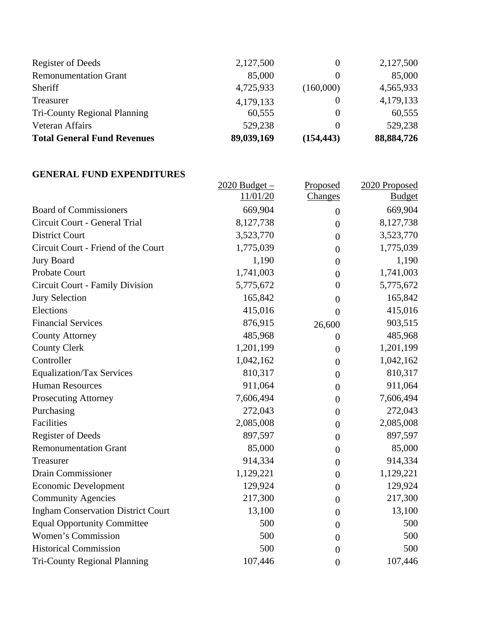| <b>Total General Fund Revenues</b> | 89,039,169 | (154, 443) | 88,884,726 |
|------------------------------------|------------|------------|------------|
| Veteran Affairs                    | 529,238    |            | 529,238    |
| Tri-County Regional Planning       | 60,555     |            | 60,555     |
| Treasurer                          | 4,179,133  |            | 4,179,133  |
| Sheriff                            | 4,725,933  | (160,000)  | 4,565,933  |
| <b>Remonumentation Grant</b>       | 85,000     |            | 85,000     |
| Register of Deeds                  | 2,127,500  |            | 2,127,500  |

#### **GENERAL FUND EXPENDITURES**

|                                           | $2020$ Budget – | Proposed         | 2020 Proposed |
|-------------------------------------------|-----------------|------------------|---------------|
|                                           | 11/01/20        | Changes          | <b>Budget</b> |
| <b>Board of Commissioners</b>             | 669,904         | $\boldsymbol{0}$ | 669,904       |
| Circuit Court - General Trial             | 8,127,738       | $\overline{0}$   | 8,127,738     |
| <b>District Court</b>                     | 3,523,770       | $\overline{0}$   | 3,523,770     |
| Circuit Court - Friend of the Court       | 1,775,039       | $\overline{0}$   | 1,775,039     |
| <b>Jury Board</b>                         | 1,190           | $\overline{0}$   | 1,190         |
| Probate Court                             | 1,741,003       | $\overline{0}$   | 1,741,003     |
| <b>Circuit Court - Family Division</b>    | 5,775,672       | $\overline{0}$   | 5,775,672     |
| <b>Jury Selection</b>                     | 165,842         | $\overline{0}$   | 165,842       |
| Elections                                 | 415,016         | $\overline{0}$   | 415,016       |
| <b>Financial Services</b>                 | 876,915         | 26,600           | 903,515       |
| <b>County Attorney</b>                    | 485,968         | $\overline{0}$   | 485,968       |
| <b>County Clerk</b>                       | 1,201,199       | $\overline{0}$   | 1,201,199     |
| Controller                                | 1,042,162       | $\overline{0}$   | 1,042,162     |
| <b>Equalization/Tax Services</b>          | 810,317         | $\overline{0}$   | 810,317       |
| <b>Human Resources</b>                    | 911,064         | $\overline{0}$   | 911,064       |
| <b>Prosecuting Attorney</b>               | 7,606,494       | $\overline{0}$   | 7,606,494     |
| Purchasing                                | 272,043         | $\boldsymbol{0}$ | 272,043       |
| Facilities                                | 2,085,008       | $\overline{0}$   | 2,085,008     |
| <b>Register of Deeds</b>                  | 897,597         | $\overline{0}$   | 897,597       |
| <b>Remonumentation Grant</b>              | 85,000          | $\overline{0}$   | 85,000        |
| Treasurer                                 | 914,334         | $\overline{0}$   | 914,334       |
| Drain Commissioner                        | 1,129,221       | $\overline{0}$   | 1,129,221     |
| <b>Economic Development</b>               | 129,924         | $\overline{0}$   | 129,924       |
| <b>Community Agencies</b>                 | 217,300         | $\boldsymbol{0}$ | 217,300       |
| <b>Ingham Conservation District Court</b> | 13,100          | $\overline{0}$   | 13,100        |
| <b>Equal Opportunity Committee</b>        | 500             | $\overline{0}$   | 500           |
| Women's Commission                        | 500             | $\theta$         | 500           |
| <b>Historical Commission</b>              | 500             | $\theta$         | 500           |
| <b>Tri-County Regional Planning</b>       | 107,446         | $\overline{0}$   | 107,446       |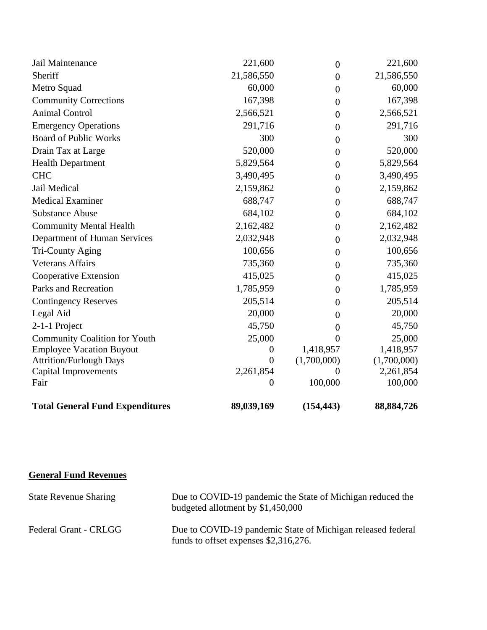| Jail Maintenance                       | 221,600          | $\boldsymbol{0}$ | 221,600      |
|----------------------------------------|------------------|------------------|--------------|
| Sheriff                                | 21,586,550       | $\overline{0}$   | 21,586,550   |
| Metro Squad                            | 60,000           | $\theta$         | 60,000       |
| <b>Community Corrections</b>           | 167,398          | $\overline{0}$   | 167,398      |
| <b>Animal Control</b>                  | 2,566,521        | $\boldsymbol{0}$ | 2,566,521    |
| <b>Emergency Operations</b>            | 291,716          | $\theta$         | 291,716      |
| <b>Board of Public Works</b>           | 300              | $\theta$         | 300          |
| Drain Tax at Large                     | 520,000          | $\boldsymbol{0}$ | 520,000      |
| <b>Health Department</b>               | 5,829,564        | $\theta$         | 5,829,564    |
| <b>CHC</b>                             | 3,490,495        | $\overline{0}$   | 3,490,495    |
| Jail Medical                           | 2,159,862        | $\boldsymbol{0}$ | 2,159,862    |
| <b>Medical Examiner</b>                | 688,747          | $\boldsymbol{0}$ | 688,747      |
| <b>Substance Abuse</b>                 | 684,102          | $\overline{0}$   | 684,102      |
| <b>Community Mental Health</b>         | 2,162,482        | $\boldsymbol{0}$ | 2,162,482    |
| Department of Human Services           | 2,032,948        | $\overline{0}$   | 2,032,948    |
| Tri-County Aging                       | 100,656          | $\theta$         | 100,656      |
| <b>Veterans Affairs</b>                | 735,360          | $\boldsymbol{0}$ | 735,360      |
| Cooperative Extension                  | 415,025          | $\overline{0}$   | 415,025      |
| Parks and Recreation                   | 1,785,959        | $\theta$         | 1,785,959    |
| <b>Contingency Reserves</b>            | 205,514          | $\theta$         | 205,514      |
| Legal Aid                              | 20,000           | $\theta$         | 20,000       |
| 2-1-1 Project                          | 45,750           | $\theta$         | 45,750       |
| <b>Community Coalition for Youth</b>   | 25,000           | $\theta$         | 25,000       |
| <b>Employee Vacation Buyout</b>        | $\boldsymbol{0}$ | 1,418,957        | 1,418,957    |
| <b>Attrition/Furlough Days</b>         | $\overline{0}$   | (1,700,000)      | (1,700,000)  |
| Capital Improvements                   | 2,261,854        | $\Omega$         | 2,261,854    |
| Fair                                   | 0                | 100,000          | 100,000      |
| <b>Total General Fund Expenditures</b> | 89,039,169       | (154, 443)       | 88, 884, 726 |

**General Fund Revenues** 

| <b>State Revenue Sharing</b> | Due to COVID-19 pandemic the State of Michigan reduced the<br>budgeted allotment by \$1,450,000        |
|------------------------------|--------------------------------------------------------------------------------------------------------|
| Federal Grant - CRLGG        | Due to COVID-19 pandemic State of Michigan released federal<br>funds to offset expenses $$2,316,276$ . |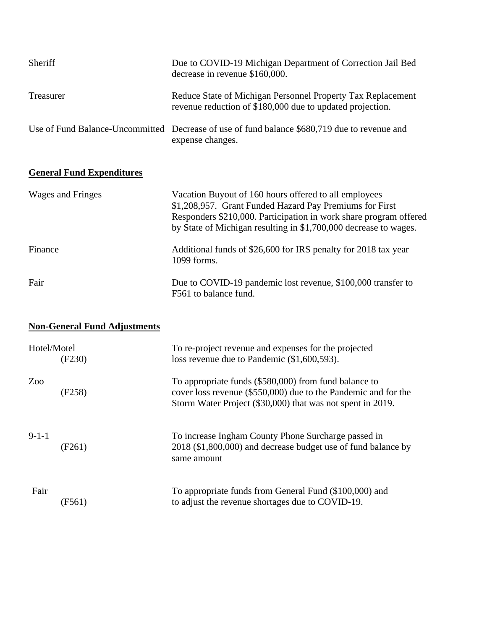| Sheriff   | Due to COVID-19 Michigan Department of Correction Jail Bed<br>decrease in revenue \$160,000.                             |
|-----------|--------------------------------------------------------------------------------------------------------------------------|
| Treasurer | Reduce State of Michigan Personnel Property Tax Replacement<br>revenue reduction of \$180,000 due to updated projection. |
|           | Use of Fund Balance-Uncommitted Decrease of use of fund balance \$680,719 due to revenue and<br>expense changes.         |

## **General Fund Expenditures**

| Wages and Fringes | Vacation Buyout of 160 hours offered to all employees<br>\$1,208,957. Grant Funded Hazard Pay Premiums for First<br>Responders \$210,000. Participation in work share program offered<br>by State of Michigan resulting in \$1,700,000 decrease to wages. |
|-------------------|-----------------------------------------------------------------------------------------------------------------------------------------------------------------------------------------------------------------------------------------------------------|
| Finance           | Additional funds of \$26,600 for IRS penalty for 2018 tax year<br>1099 forms.                                                                                                                                                                             |
| Fair              | Due to COVID-19 pandemic lost revenue, \$100,000 transfer to<br>F561 to balance fund.                                                                                                                                                                     |

# **Non-General Fund Adjustments**

| Hotel/Motel | (F230) | To re-project revenue and expenses for the projected<br>loss revenue due to Pandemic (\$1,600,593).                                                                                     |
|-------------|--------|-----------------------------------------------------------------------------------------------------------------------------------------------------------------------------------------|
| Zoo         | (F258) | To appropriate funds (\$580,000) from fund balance to<br>cover loss revenue $(\$550,000)$ due to the Pandemic and for the<br>Storm Water Project (\$30,000) that was not spent in 2019. |
| $9-1-1$     | (F261) | To increase Ingham County Phone Surcharge passed in<br>2018 (\$1,800,000) and decrease budget use of fund balance by<br>same amount                                                     |
| Fair        | (F561) | To appropriate funds from General Fund (\$100,000) and<br>to adjust the revenue shortages due to COVID-19.                                                                              |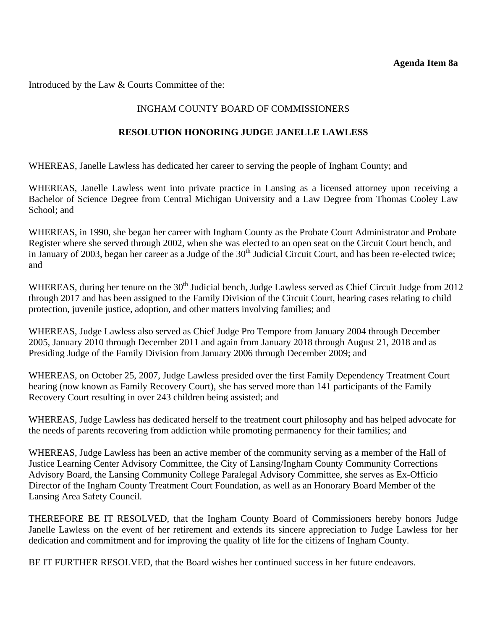<span id="page-50-0"></span>Introduced by the Law & Courts Committee of the:

#### INGHAM COUNTY BOARD OF COMMISSIONERS

#### **RESOLUTION HONORING JUDGE JANELLE LAWLESS**

WHEREAS, Janelle Lawless has dedicated her career to serving the people of Ingham County; and

WHEREAS, Janelle Lawless went into private practice in Lansing as a licensed attorney upon receiving a Bachelor of Science Degree from Central Michigan University and a Law Degree from Thomas Cooley Law School; and

WHEREAS, in 1990, she began her career with Ingham County as the Probate Court Administrator and Probate Register where she served through 2002, when she was elected to an open seat on the Circuit Court bench, and in January of 2003, began her career as a Judge of the 30<sup>th</sup> Judicial Circuit Court, and has been re-elected twice; and

WHEREAS, during her tenure on the 30<sup>th</sup> Judicial bench, Judge Lawless served as Chief Circuit Judge from 2012 through 2017 and has been assigned to the Family Division of the Circuit Court, hearing cases relating to child protection, juvenile justice, adoption, and other matters involving families; and

WHEREAS, Judge Lawless also served as Chief Judge Pro Tempore from January 2004 through December 2005, January 2010 through December 2011 and again from January 2018 through August 21, 2018 and as Presiding Judge of the Family Division from January 2006 through December 2009; and

WHEREAS, on October 25, 2007, Judge Lawless presided over the first Family Dependency Treatment Court hearing (now known as Family Recovery Court), she has served more than 141 participants of the Family Recovery Court resulting in over 243 children being assisted; and

WHEREAS, Judge Lawless has dedicated herself to the treatment court philosophy and has helped advocate for the needs of parents recovering from addiction while promoting permanency for their families; and

WHEREAS, Judge Lawless has been an active member of the community serving as a member of the Hall of Justice Learning Center Advisory Committee, the City of Lansing/Ingham County Community Corrections Advisory Board, the Lansing Community College Paralegal Advisory Committee, she serves as Ex-Officio Director of the Ingham County Treatment Court Foundation, as well as an Honorary Board Member of the Lansing Area Safety Council.

THEREFORE BE IT RESOLVED, that the Ingham County Board of Commissioners hereby honors Judge Janelle Lawless on the event of her retirement and extends its sincere appreciation to Judge Lawless for her dedication and commitment and for improving the quality of life for the citizens of Ingham County.

BE IT FURTHER RESOLVED, that the Board wishes her continued success in her future endeavors.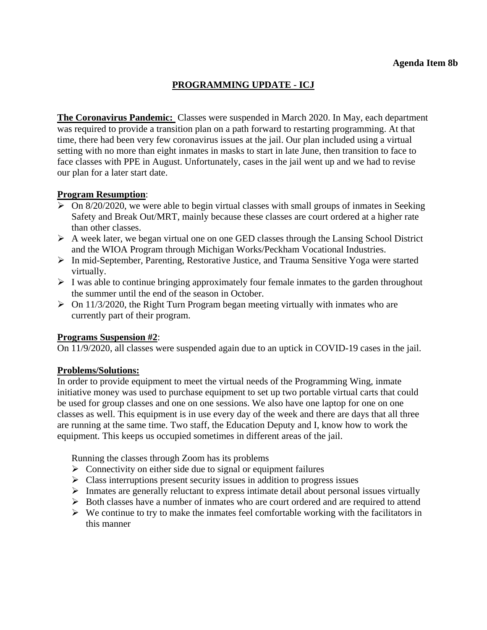## **PROGRAMMING UPDATE - ICJ**

<span id="page-51-0"></span>**The Coronavirus Pandemic:** Classes were suspended in March 2020. In May, each department was required to provide a transition plan on a path forward to restarting programming. At that time, there had been very few coronavirus issues at the jail. Our plan included using a virtual setting with no more than eight inmates in masks to start in late June, then transition to face to face classes with PPE in August. Unfortunately, cases in the jail went up and we had to revise our plan for a later start date.

## **Program Resumption**:

- $\triangleright$  On 8/20/2020, we were able to begin virtual classes with small groups of inmates in Seeking Safety and Break Out/MRT, mainly because these classes are court ordered at a higher rate than other classes.
- $\triangleright$  A week later, we began virtual one on one GED classes through the Lansing School District and the WIOA Program through Michigan Works/Peckham Vocational Industries.
- In mid-September, Parenting, Restorative Justice, and Trauma Sensitive Yoga were started virtually.
- $\triangleright$  I was able to continue bringing approximately four female inmates to the garden throughout the summer until the end of the season in October.
- $\triangleright$  On 11/3/2020, the Right Turn Program began meeting virtually with inmates who are currently part of their program.

#### **Programs Suspension #2**:

On 11/9/2020, all classes were suspended again due to an uptick in COVID-19 cases in the jail.

#### **Problems/Solutions:**

In order to provide equipment to meet the virtual needs of the Programming Wing, inmate initiative money was used to purchase equipment to set up two portable virtual carts that could be used for group classes and one on one sessions. We also have one laptop for one on one classes as well. This equipment is in use every day of the week and there are days that all three are running at the same time. Two staff, the Education Deputy and I, know how to work the equipment. This keeps us occupied sometimes in different areas of the jail.

Running the classes through Zoom has its problems

- $\triangleright$  Connectivity on either side due to signal or equipment failures
- $\triangleright$  Class interruptions present security issues in addition to progress issues
- $\triangleright$  Inmates are generally reluctant to express intimate detail about personal issues virtually
- $\triangleright$  Both classes have a number of inmates who are court ordered and are required to attend
- $\triangleright$  We continue to try to make the inmates feel comfortable working with the facilitators in this manner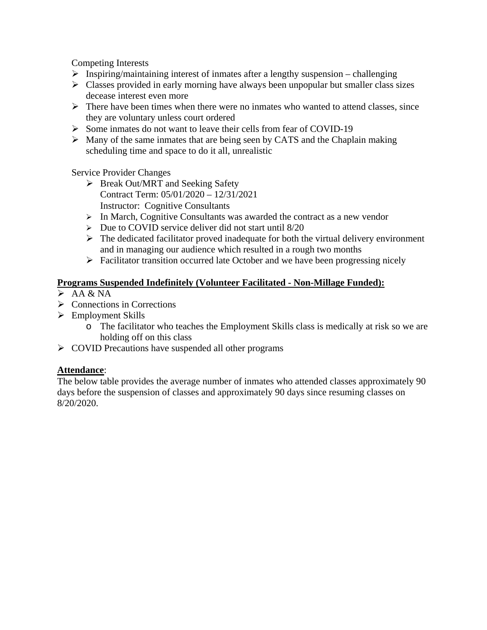Competing Interests

- $\triangleright$  Inspiring/maintaining interest of inmates after a lengthy suspension challenging
- $\triangleright$  Classes provided in early morning have always been unpopular but smaller class sizes decease interest even more
- $\triangleright$  There have been times when there were no inmates who wanted to attend classes, since they are voluntary unless court ordered
- Some inmates do not want to leave their cells from fear of COVID-19
- $\triangleright$  Many of the same inmates that are being seen by CATS and the Chaplain making scheduling time and space to do it all, unrealistic

Service Provider Changes

- $\triangleright$  Break Out/MRT and Seeking Safety Contract Term: 05/01/2020 – 12/31/2021 Instructor: Cognitive Consultants
- $\triangleright$  In March, Cognitive Consultants was awarded the contract as a new vendor
- $\triangleright$  Due to COVID service deliver did not start until 8/20
- $\triangleright$  The dedicated facilitator proved inadequate for both the virtual delivery environment and in managing our audience which resulted in a rough two months
- $\triangleright$  Facilitator transition occurred late October and we have been progressing nicely

## **Programs Suspended Indefinitely (Volunteer Facilitated - Non-Millage Funded):**

- $\triangleright$  AA & NA
- $\triangleright$  Connections in Corrections
- $\triangleright$  Employment Skills
	- o The facilitator who teaches the Employment Skills class is medically at risk so we are holding off on this class
- $\triangleright$  COVID Precautions have suspended all other programs

## **Attendance**:

The below table provides the average number of inmates who attended classes approximately 90 days before the suspension of classes and approximately 90 days since resuming classes on 8/20/2020.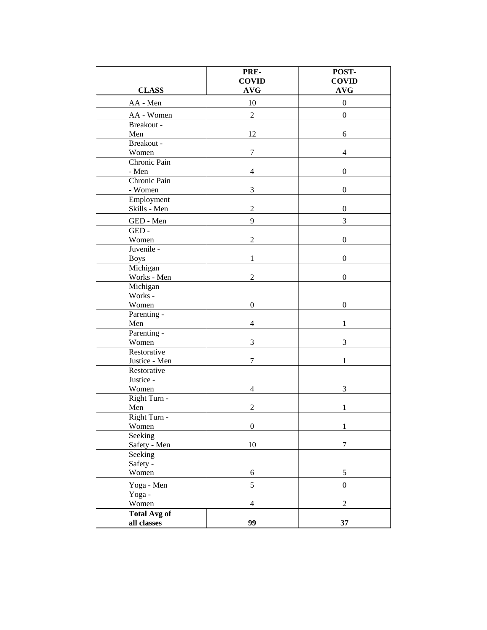|                              | PRE-<br><b>COVID</b> | POST-<br><b>COVID</b> |
|------------------------------|----------------------|-----------------------|
| <b>CLASS</b>                 | <b>AVG</b>           | <b>AVG</b>            |
| AA - Men                     | 10                   | $\boldsymbol{0}$      |
| AA - Women                   | $\sqrt{2}$           | $\boldsymbol{0}$      |
| Breakout -                   |                      |                       |
| Men                          | 12                   | 6                     |
| Breakout -                   |                      |                       |
| Women                        | 7                    | 4                     |
| Chronic Pain                 |                      |                       |
| - Men                        | $\overline{4}$       | $\boldsymbol{0}$      |
| Chronic Pain                 |                      |                       |
| - Women                      | 3                    | $\boldsymbol{0}$      |
| Employment<br>Skills - Men   | $\overline{2}$       | $\boldsymbol{0}$      |
|                              |                      |                       |
| GED - Men                    | 9                    | 3                     |
| GED-                         | $\overline{2}$       | $\boldsymbol{0}$      |
| Women<br>Juvenile -          |                      |                       |
| <b>Boys</b>                  | 1                    | $\boldsymbol{0}$      |
| Michigan                     |                      |                       |
| Works - Men                  | $\overline{2}$       | $\mathbf{0}$          |
| Michigan                     |                      |                       |
| Works -                      |                      |                       |
| Women                        | $\boldsymbol{0}$     | $\boldsymbol{0}$      |
| Parenting -                  |                      |                       |
| Men                          | $\overline{4}$       | 1                     |
| Parenting -                  |                      |                       |
| Women                        | 3                    | 3                     |
| Restorative                  |                      |                       |
| Justice - Men<br>Restorative | $\boldsymbol{7}$     | 1                     |
| Justice -                    |                      |                       |
| Women                        | 4                    | 3                     |
| Right Turn -                 |                      |                       |
| Men                          | $\overline{2}$       | 1                     |
| Right Turn -                 |                      |                       |
| Women                        | $\boldsymbol{0}$     | 1                     |
| Seeking                      |                      |                       |
| Safety - Men                 | $10\,$               | 7                     |
| Seeking                      |                      |                       |
| Safety -                     |                      |                       |
| Women                        | $\sqrt{6}$           | $\sqrt{5}$            |
| Yoga - Men                   | 5                    | $\boldsymbol{0}$      |
| Yoga -                       |                      |                       |
| Women                        | $\overline{4}$       | $\overline{2}$        |
| <b>Total Avg of</b>          |                      |                       |
| all classes                  | 99                   | 37                    |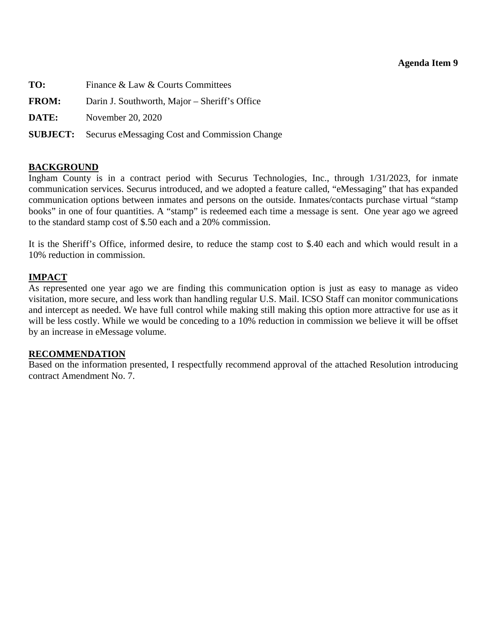#### **Agenda Item 9**

<span id="page-54-0"></span>**TO:** Finance & Law & Courts Committees **FROM:** Darin J. Southworth, Major – Sheriff's Office **DATE:** November 20, 2020 **SUBJECT:** Securus eMessaging Cost and Commission Change

#### **BACKGROUND**

Ingham County is in a contract period with Securus Technologies, Inc., through 1/31/2023, for inmate communication services. Securus introduced, and we adopted a feature called, "eMessaging" that has expanded communication options between inmates and persons on the outside. Inmates/contacts purchase virtual "stamp books" in one of four quantities. A "stamp" is redeemed each time a message is sent. One year ago we agreed to the standard stamp cost of \$.50 each and a 20% commission.

It is the Sheriff's Office, informed desire, to reduce the stamp cost to \$.40 each and which would result in a 10% reduction in commission.

#### **IMPACT**

As represented one year ago we are finding this communication option is just as easy to manage as video visitation, more secure, and less work than handling regular U.S. Mail. ICSO Staff can monitor communications and intercept as needed. We have full control while making still making this option more attractive for use as it will be less costly. While we would be conceding to a 10% reduction in commission we believe it will be offset by an increase in eMessage volume.

#### **RECOMMENDATION**

Based on the information presented, I respectfully recommend approval of the attached Resolution introducing contract Amendment No. 7.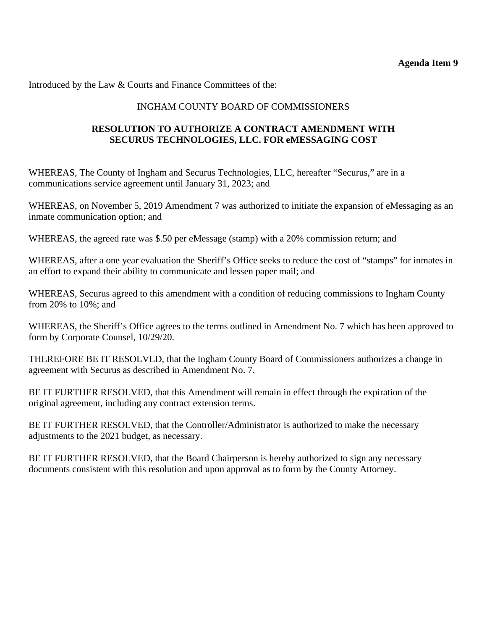Introduced by the Law & Courts and Finance Committees of the:

## INGHAM COUNTY BOARD OF COMMISSIONERS

## **RESOLUTION TO AUTHORIZE A CONTRACT AMENDMENT WITH SECURUS TECHNOLOGIES, LLC. FOR eMESSAGING COST**

WHEREAS, The County of Ingham and Securus Technologies, LLC, hereafter "Securus," are in a communications service agreement until January 31, 2023; and

WHEREAS, on November 5, 2019 Amendment 7 was authorized to initiate the expansion of eMessaging as an inmate communication option; and

WHEREAS, the agreed rate was \$.50 per eMessage (stamp) with a 20% commission return; and

WHEREAS, after a one year evaluation the Sheriff's Office seeks to reduce the cost of "stamps" for inmates in an effort to expand their ability to communicate and lessen paper mail; and

WHEREAS, Securus agreed to this amendment with a condition of reducing commissions to Ingham County from 20% to 10%; and

WHEREAS, the Sheriff's Office agrees to the terms outlined in Amendment No. 7 which has been approved to form by Corporate Counsel, 10/29/20.

THEREFORE BE IT RESOLVED, that the Ingham County Board of Commissioners authorizes a change in agreement with Securus as described in Amendment No. 7.

BE IT FURTHER RESOLVED, that this Amendment will remain in effect through the expiration of the original agreement, including any contract extension terms.

BE IT FURTHER RESOLVED, that the Controller/Administrator is authorized to make the necessary adjustments to the 2021 budget, as necessary.

BE IT FURTHER RESOLVED, that the Board Chairperson is hereby authorized to sign any necessary documents consistent with this resolution and upon approval as to form by the County Attorney.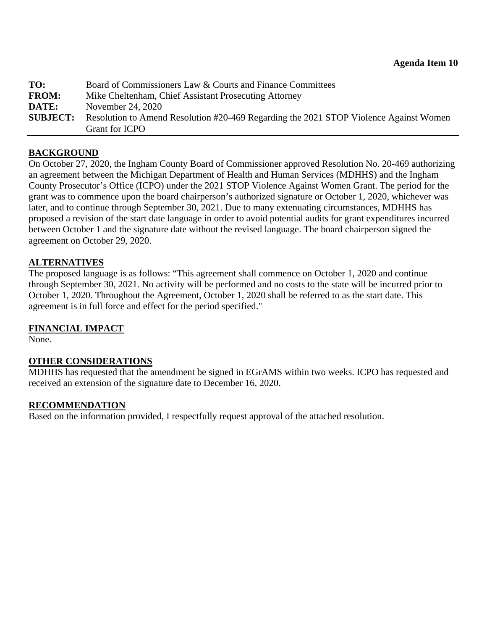<span id="page-56-0"></span>

| TO:             | Board of Commissioners Law & Courts and Finance Committees                            |
|-----------------|---------------------------------------------------------------------------------------|
| <b>FROM:</b>    | Mike Cheltenham, Chief Assistant Prosecuting Attorney                                 |
| DATE:           | November 24, 2020                                                                     |
| <b>SUBJECT:</b> | Resolution to Amend Resolution #20-469 Regarding the 2021 STOP Violence Against Women |
|                 | Grant for ICPO                                                                        |

#### **BACKGROUND**

On October 27, 2020, the Ingham County Board of Commissioner approved Resolution No. 20-469 authorizing an agreement between the Michigan Department of Health and Human Services (MDHHS) and the Ingham County Prosecutor's Office (ICPO) under the 2021 STOP Violence Against Women Grant. The period for the grant was to commence upon the board chairperson's authorized signature or October 1, 2020, whichever was later, and to continue through September 30, 2021. Due to many extenuating circumstances, MDHHS has proposed a revision of the start date language in order to avoid potential audits for grant expenditures incurred between October 1 and the signature date without the revised language. The board chairperson signed the agreement on October 29, 2020.

#### **ALTERNATIVES**

The proposed language is as follows: "This agreement shall commence on October 1, 2020 and continue through September 30, 2021. No activity will be performed and no costs to the state will be incurred prior to October 1, 2020. Throughout the Agreement, October 1, 2020 shall be referred to as the start date. This agreement is in full force and effect for the period specified."

#### **FINANCIAL IMPACT**

None.

#### **OTHER CONSIDERATIONS**

MDHHS has requested that the amendment be signed in EGrAMS within two weeks. ICPO has requested and received an extension of the signature date to December 16, 2020.

#### **RECOMMENDATION**

Based on the information provided, I respectfully request approval of the attached resolution.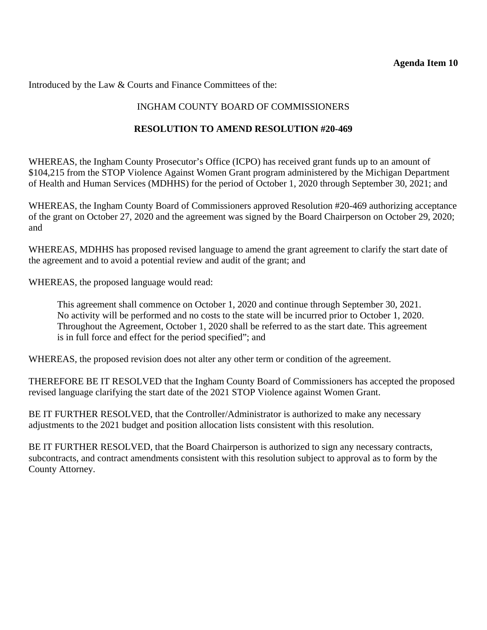#### **Agenda Item 10**

Introduced by the Law & Courts and Finance Committees of the:

## INGHAM COUNTY BOARD OF COMMISSIONERS

#### **RESOLUTION TO AMEND RESOLUTION #20-469**

WHEREAS, the Ingham County Prosecutor's Office (ICPO) has received grant funds up to an amount of \$104,215 from the STOP Violence Against Women Grant program administered by the Michigan Department of Health and Human Services (MDHHS) for the period of October 1, 2020 through September 30, 2021; and

WHEREAS, the Ingham County Board of Commissioners approved Resolution #20-469 authorizing acceptance of the grant on October 27, 2020 and the agreement was signed by the Board Chairperson on October 29, 2020; and

WHEREAS, MDHHS has proposed revised language to amend the grant agreement to clarify the start date of the agreement and to avoid a potential review and audit of the grant; and

WHEREAS, the proposed language would read:

This agreement shall commence on October 1, 2020 and continue through September 30, 2021. No activity will be performed and no costs to the state will be incurred prior to October 1, 2020. Throughout the Agreement, October 1, 2020 shall be referred to as the start date. This agreement is in full force and effect for the period specified"; and

WHEREAS, the proposed revision does not alter any other term or condition of the agreement.

THEREFORE BE IT RESOLVED that the Ingham County Board of Commissioners has accepted the proposed revised language clarifying the start date of the 2021 STOP Violence against Women Grant.

BE IT FURTHER RESOLVED, that the Controller/Administrator is authorized to make any necessary adjustments to the 2021 budget and position allocation lists consistent with this resolution.

BE IT FURTHER RESOLVED, that the Board Chairperson is authorized to sign any necessary contracts, subcontracts, and contract amendments consistent with this resolution subject to approval as to form by the County Attorney.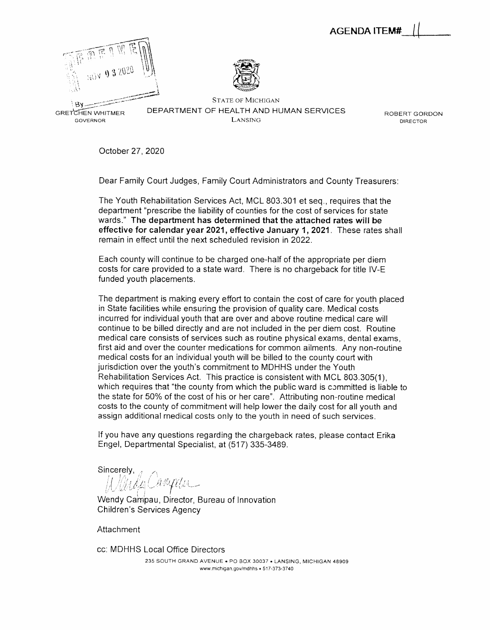AGENDA 1TEM# (

<span id="page-58-0"></span>



GRETCHEN WHITMER DEPARTMENT OF HEALTH AND HUMAN SERVICES ROBERT GORDON governor director of the contractor of the contractor of the contractor of the contractor of the contractor of

October 27, 2020

Dear Family Court Judges, Family Court Administrators and County Treasurers:

The Youth Rehabilitation Services Act, MCL 803.301 et seq., requires that the department "prescribe the liability of counties for the cost of services for state wards." *The department has determined that the attached rates will be effective for calendar year 2021, effective January 1, 2021.* These rates shall remain in effect until the next scheduled revision in 2022.

Each county will continue to be charged one-half of the appropriate per diem costs for care provided to a state ward. There is no chargeback for title IV-E funded youth placements.

The department is making every effort to contain the cost of care for youth placed in State facilities while ensuring the provision of quality care. Medical costs incurred for individual youth that are over and above routine medical care will continue to be billed directly and are not included in the per diem cost. Routine medical care consists of services such as routine physical exams, dental exams, first aid and over the counter medications for common ailments. Any non-routine medical costs for an individual youth will be billed to the county court with jurisdiction over the youth's commitment to MDHHS under the Youth Rehabilitation Services Act. This practice is consistent with MCL 803.305(1), which requires that "the county from which the public ward is committed is liable to the state for 50% of the cost of his or her care". Attributing non-routine medical costs to the county of commitment will help lower the daily cost for all youth and assign additional medical costs only to the youth in need of such services.

If you have any questions regarding the chargeback rates, please contact Erika Engel, Departmental Specialist, at (517) 335-3489.

Sincerely

Wendy Campau, Director, Bureau of Innovation Children's Services Agency

Attachment

cc: MDHHS Local Office Directors 235 SOUTH GRAND AVENUE . PO BOX 30037 . LANSING, MICHIGAN 48909 www.michigan.gov/mdhhs • 517-373-3740